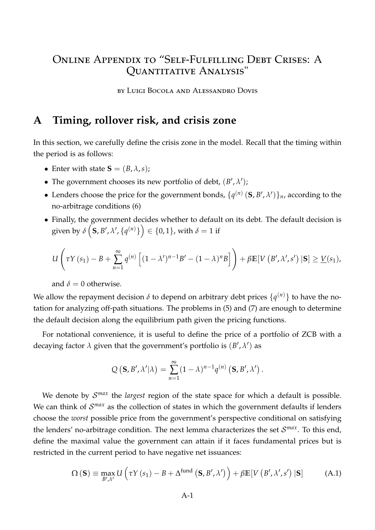# Online Appendix to "Self-Fulfilling Debt Crises: A Quantitative Analysis"

by Luigi Bocola and Alessandro Dovis

## **A Timing, rollover risk, and crisis zone**

In this section, we carefully define the crisis zone in the model. Recall that the timing within the period is as follows:

- Enter with state  $S = (B, \lambda, s)$ ;
- The government chooses its new portfolio of debt,  $(B', \lambda')$ ;
- Lenders choose the price for the government bonds,  $\{q^{(n)}(\mathbf{S}, B', \lambda')\}_n$ , according to the no-arbitrage conditions (6)
- Finally, the government decides whether to default on its debt. The default decision is  $\text{given by } \delta\left(\textbf{S},B',\lambda',\{q^{(n)}\}\right) \in \{0,1\}, \text{with } \delta=1 \text{ if }$

$$
U\left(\tau Y(s_1)-B+\sum_{n=1}^{\infty}q^{(n)}\left[(1-\lambda')^{n-1}B'-(1-\lambda)^nB\right]\right)+\beta\mathbb{E}[V(B',\lambda',s')\,|\mathbf{S}]\geq\underline{V}(s_1),
$$

and  $\delta = 0$  otherwise.

We allow the repayment decision *δ* to depend on arbitrary debt prices {*q* (*n*)} to have the notation for analyzing off-path situations. The problems in (5) and (7) are enough to determine the default decision along the equilibrium path given the pricing functions.

For notational convenience, it is useful to define the price of a portfolio of ZCB with a decaying factor  $\lambda$  given that the government's portfolio is  $(B', \lambda')$  as

<span id="page-0-0"></span>
$$
Q(\mathbf{S},B',\lambda'|\lambda)=\sum_{n=1}^{\infty}(1-\lambda)^{n-1}q^{(n)}(\mathbf{S},B',\lambda').
$$

We denote by  $\mathcal{S}^{max}$  the *largest* region of the state space for which a default is possible. We can think of  $\mathcal{S}^{max}$  as the collection of states in which the government defaults if lenders choose the *worst* possible price from the government's perspective conditional on satisfying the lenders' no-arbitrage condition. The next lemma characterizes the set S *max*. To this end, define the maximal value the government can attain if it faces fundamental prices but is restricted in the current period to have negative net issuances:

$$
\Omega\left(\mathbf{S}\right) \equiv \max_{B',\lambda'} U\left(\tau Y\left(s_{1}\right) - B + \Delta^{\text{fund}}\left(\mathbf{S},B',\lambda'\right)\right) + \beta \mathbb{E}\left[V\left(B',\lambda',s'\right)|\mathbf{S}\right] \tag{A.1}
$$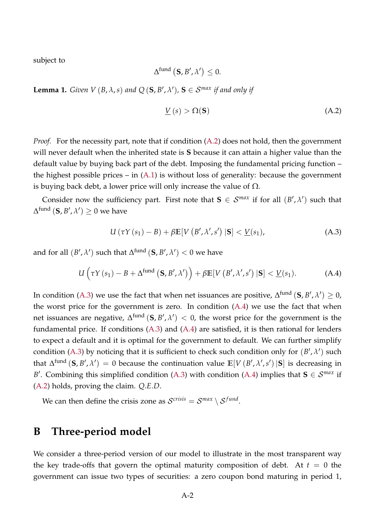subject to

$$
\Delta^{\textrm{fund}}\left(\mathbf{S},B',\lambda'\right)\leq 0.
$$

**Lemma 1.** *Given V* (*B*,  $\lambda$ , *s*) *and*  $Q$  (**S**,  $B'$ ,  $\lambda'$ ), **S**  $\in$  *S*<sup>*max*</sup> *if and only if* 

<span id="page-1-0"></span>
$$
\underline{V}(s) > \Omega(\mathbf{S}) \tag{A.2}
$$

*Proof.* For the necessity part, note that if condition [\(A.2\)](#page-1-0) does not hold, then the government will never default when the inherited state is **S** because it can attain a higher value than the default value by buying back part of the debt. Imposing the fundamental pricing function – the highest possible prices – in  $(A.1)$  is without loss of generality: because the government is buying back debt, a lower price will only increase the value of  $\Omega$ .

Consider now the sufficiency part. First note that  $S \in \mathcal{S}^{max}$  if for all  $(B', \lambda')$  such that  $\Delta^{\mathrm{fund}}\left(\mathbf{S},B',\lambda'\right)\geq0$  we have

<span id="page-1-2"></span><span id="page-1-1"></span>
$$
U(\tau Y(s_1) - B) + \beta \mathbb{E}[V(B', \lambda', s') | \mathbf{S}] < \underline{V}(s_1),
$$
\n(A.3)

and for all  $(B', \lambda')$  such that  $\Delta^{\textrm{fund}}\left(\mathbf{S}, B', \lambda'\right) < 0$  we have

$$
U\left(\tau Y\left(s_{1}\right)-B+\Delta^{\text{fund}}\left(\mathbf{S},B',\lambda'\right)\right)+\beta\mathbb{E}[V\left(B',\lambda',s'\right)|\mathbf{S}] < \underline{V}(s_{1}). \tag{A.4}
$$

In condition [\(A.3\)](#page-1-1) we use the fact that when net issuances are positive,  $\Delta^{\text{fund}}\left(\mathbf{S},B',\lambda'\right)\geq0$ , the worst price for the government is zero. In condition [\(A.4\)](#page-1-2) we use the fact that when net issuances are negative,  $\Delta^{\mathrm{fund}}\left(\mathbf{S},B',\lambda'\right)\,<\,0$ , the worst price for the government is the fundamental price. If conditions  $(A.3)$  and  $(A.4)$  are satisfied, it is then rational for lenders to expect a default and it is optimal for the government to default. We can further simplify condition [\(A.3\)](#page-1-1) by noticing that it is sufficient to check such condition only for  $(B', \lambda')$  such that  $\Delta^{\text{fund}}$  (S, B',  $\lambda'$ ) = 0 because the continuation value  $\mathbb{E}[V(B', \lambda', s')\,|\mathbf{S}]$  is decreasing in *B*<sup> $\prime$ </sup>. Combining this simplified condition [\(A.3\)](#page-1-1) with condition [\(A.4\)](#page-1-2) implies that **S**  $\in$  *S*<sup>*max*</sup> if [\(A.2\)](#page-1-0) holds, proving the claim. *Q*.*E*.*D*.

We can then define the crisis zone as  $\mathcal{S}^{crisis} = \mathcal{S}^{max} \setminus \mathcal{S}^{fund}$ .

## **B Three-period model**

We consider a three-period version of our model to illustrate in the most transparent way the key trade-offs that govern the optimal maturity composition of debt. At  $t = 0$  the government can issue two types of securities: a zero coupon bond maturing in period 1,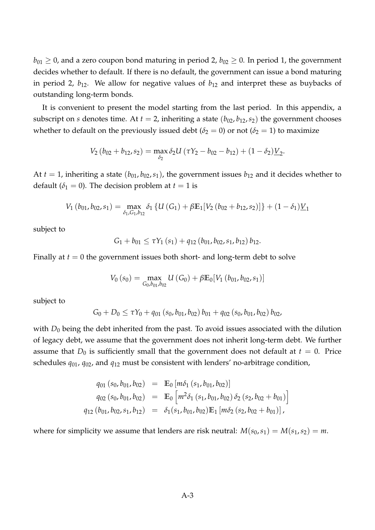$b_{01} \ge 0$ , and a zero coupon bond maturing in period 2,  $b_{02} \ge 0$ . In period 1, the government decides whether to default. If there is no default, the government can issue a bond maturing in period 2,  $b_{12}$ . We allow for negative values of  $b_{12}$  and interpret these as buybacks of outstanding long-term bonds.

It is convenient to present the model starting from the last period. In this appendix, a subscript on *s* denotes time. At  $t = 2$ , inheriting a state  $(b_{02}, b_{12}, s_2)$  the government chooses whether to default on the previously issued debt ( $\delta_2 = 0$ ) or not ( $\delta_2 = 1$ ) to maximize

$$
V_2(b_{02}+b_{12},s_2)=\max_{\delta_2}\delta_2U(\tau Y_2-b_{02}-b_{12})+(1-\delta_2)\underline{V}_2.
$$

At  $t = 1$ , inheriting a state  $(b_{01}, b_{02}, s_1)$ , the government issues  $b_{12}$  and it decides whether to default ( $\delta_1 = 0$ ). The decision problem at  $t = 1$  is

$$
V_1(b_{01}, b_{02}, s_1) = \max_{\delta_1, G_1, b_{12}} \delta_1 \left\{ U\left(G_1\right) + \beta \mathbb{E}_1[V_2\left(b_{02} + b_{12}, s_2\right)] \right\} + (1 - \delta_1) \underline{V}_1
$$

subject to

$$
G_1 + b_{01} \leq \tau Y_1(s_1) + q_{12} (b_{01}, b_{02}, s_1, b_{12}) b_{12}.
$$

Finally at  $t = 0$  the government issues both short- and long-term debt to solve

$$
V_0(s_0) = \max_{G_0, b_{01}, b_{02}} U(G_0) + \beta \mathbb{E}_0[V_1(b_{01}, b_{02}, s_1)]
$$

subject to

$$
G_0+D_0\leq \tau Y_0+q_{01}(s_0,b_{01},b_{02})b_{01}+q_{02}(s_0,b_{01},b_{02})b_{02},
$$

with  $D_0$  being the debt inherited from the past. To avoid issues associated with the dilution of legacy debt, we assume that the government does not inherit long-term debt. We further assume that  $D_0$  is sufficiently small that the government does not default at  $t = 0$ . Price schedules *q*01, *q*02, and *q*<sup>12</sup> must be consistent with lenders' no-arbitrage condition,

$$
q_{01}(s_0, b_{01}, b_{02}) = \mathbb{E}_0 [m\delta_1 (s_1, b_{01}, b_{02})]
$$
  
\n
$$
q_{02}(s_0, b_{01}, b_{02}) = \mathbb{E}_0 [m^2\delta_1 (s_1, b_{01}, b_{02}) \delta_2 (s_2, b_{02} + b_{01})]
$$
  
\n
$$
q_{12}(b_{01}, b_{02}, s_1, b_{12}) = \delta_1(s_1, b_{01}, b_{02}) \mathbb{E}_1 [m\delta_2 (s_2, b_{02} + b_{01})],
$$

where for simplicity we assume that lenders are risk neutral:  $M(s_0, s_1) = M(s_1, s_2) = m$ .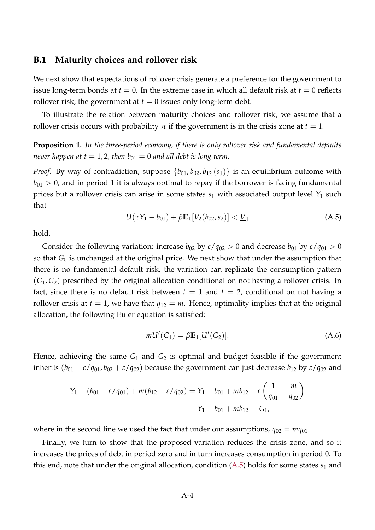#### **B.1 Maturity choices and rollover risk**

We next show that expectations of rollover crisis generate a preference for the government to issue long-term bonds at  $t = 0$ . In the extreme case in which all default risk at  $t = 0$  reflects rollover risk, the government at  $t = 0$  issues only long-term debt.

To illustrate the relation between maturity choices and rollover risk, we assume that a rollover crisis occurs with probability  $\pi$  if the government is in the crisis zone at  $t = 1$ .

**Proposition 1.** *In the three-period economy, if there is only rollover risk and fundamental defaults never happen at t* = 1, 2, then  $b_{01} = 0$  *and all debt is long term.* 

<span id="page-3-0"></span>*Proof.* By way of contradiction, suppose  $\{b_{01}, b_{02}, b_{12}(s_1)\}$  is an equilibrium outcome with  $b_{01} > 0$ , and in period 1 it is always optimal to repay if the borrower is facing fundamental prices but a rollover crisis can arise in some states  $s_1$  with associated output level  $Y_1$  such that

$$
U(\tau Y_1 - b_{01}) + \beta \mathbb{E}_1[V_2(b_{02}, s_2)] < \underline{V}_1 \tag{A.5}
$$

hold.

Consider the following variation: increase  $b_{02}$  by  $\varepsilon/q_{02} > 0$  and decrease  $b_{01}$  by  $\varepsilon/q_{01} > 0$ so that *G*<sup>0</sup> is unchanged at the original price. We next show that under the assumption that there is no fundamental default risk, the variation can replicate the consumption pattern (*G*1, *G*2) prescribed by the original allocation conditional on not having a rollover crisis. In fact, since there is no default risk between  $t = 1$  and  $t = 2$ , conditional on not having a rollover crisis at  $t = 1$ , we have that  $q_{12} = m$ . Hence, optimality implies that at the original allocation, the following Euler equation is satisfied:

<span id="page-3-1"></span>
$$
mU'(G_1) = \beta \mathbb{E}_1[U'(G_2)].
$$
\n(A.6)

Hence, achieving the same  $G_1$  and  $G_2$  is optimal and budget feasible if the government inherits  $(b_{01} - \varepsilon / q_{01}, b_{02} + \varepsilon / q_{02})$  because the government can just decrease  $b_{12}$  by  $\varepsilon / q_{02}$  and

$$
Y_1 - (b_{01} - \varepsilon/q_{01}) + m(b_{12} - \varepsilon/q_{02}) = Y_1 - b_{01} + mb_{12} + \varepsilon \left(\frac{1}{q_{01}} - \frac{m}{q_{02}}\right)
$$
  
=  $Y_1 - b_{01} + mb_{12} = G_1$ ,

where in the second line we used the fact that under our assumptions,  $q_{02} = mq_{01}$ .

Finally, we turn to show that the proposed variation reduces the crisis zone, and so it increases the prices of debt in period zero and in turn increases consumption in period 0. To this end, note that under the original allocation, condition  $(A.5)$  holds for some states  $s<sub>1</sub>$  and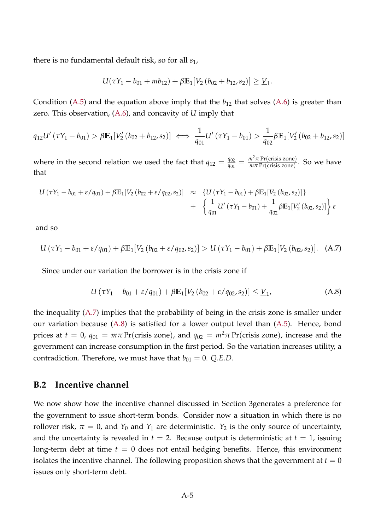there is no fundamental default risk, so for all *s*1,

$$
U(\tau Y_1 - b_{01} + mb_{12}) + \beta \mathbb{E}_1[V_2(b_{02} + b_{12}, s_2)] \geq \underline{V}_1.
$$

Condition [\(A.5\)](#page-3-0) and the equation above imply that the  $b_{12}$  that solves [\(A.6\)](#page-3-1) is greater than zero. This observation, [\(A.6\)](#page-3-1), and concavity of *U* imply that

$$
q_{12}U'(\tau Y_1 - b_{01}) > \beta \mathbb{E}_1[V_2'(b_{02} + b_{12}, s_2)] \iff \frac{1}{q_{01}}U'(\tau Y_1 - b_{01}) > \frac{1}{q_{02}}\beta \mathbb{E}_1[V_2'(b_{02} + b_{12}, s_2)]
$$

where in the second relation we used the fact that  $q_{12} = \frac{q_{02}}{q_{01}}$  $\frac{q_{02}}{q_{01}} = \frac{m^2 \pi \text{Pr(crisis zone)}}{m \pi \text{Pr(crisis zone)}}$  $\frac{m}{m\pi}$  Pr(crisis zone). So we have that

$$
U(\tau Y_1 - b_{01} + \varepsilon / q_{01}) + \beta \mathbb{E}_1[V_2(b_{02} + \varepsilon / q_{02}, s_2)] \approx \left\{ U(\tau Y_1 - b_{01}) + \beta \mathbb{E}_1[V_2(b_{02}, s_2)] \right\} + \left\{ \frac{1}{q_{01}} U'(\tau Y_1 - b_{01}) + \frac{1}{q_{02}} \beta \mathbb{E}_1[V'_2(b_{02}, s_2)] \right\} \varepsilon
$$

<span id="page-4-0"></span>and so

$$
U(\tau Y_1 - b_{01} + \varepsilon / q_{01}) + \beta \mathbb{E}_1[V_2(b_{02} + \varepsilon / q_{02}, s_2)] > U(\tau Y_1 - b_{01}) + \beta \mathbb{E}_1[V_2(b_{02}, s_2)]. \quad (A.7)
$$

Since under our variation the borrower is in the crisis zone if

<span id="page-4-1"></span>
$$
U(\tau Y_1 - b_{01} + \varepsilon / q_{01}) + \beta \mathbb{E}_1[V_2(b_{02} + \varepsilon / q_{02}, s_2)] \leq \underline{V}_1,\tag{A.8}
$$

the inequality [\(A.7\)](#page-4-0) implies that the probability of being in the crisis zone is smaller under our variation because [\(A.8\)](#page-4-1) is satisfied for a lower output level than [\(A.5\)](#page-3-0). Hence, bond prices at  $t = 0$ ,  $q_{01} = m\pi$  Pr(crisis zone), and  $q_{02} = m^2\pi$  Pr(crisis zone), increase and the government can increase consumption in the first period. So the variation increases utility, a contradiction. Therefore, we must have that  $b_{01} = 0$ . *Q.E.D.* 

## **B.2 Incentive channel**

We now show how the incentive channel discussed in Section 3generates a preference for the government to issue short-term bonds. Consider now a situation in which there is no rollover risk,  $\pi = 0$ , and  $Y_0$  and  $Y_1$  are deterministic.  $Y_2$  is the only source of uncertainty, and the uncertainty is revealed in  $t = 2$ . Because output is deterministic at  $t = 1$ , issuing long-term debt at time  $t = 0$  does not entail hedging benefits. Hence, this environment isolates the incentive channel. The following proposition shows that the government at  $t = 0$ issues only short-term debt.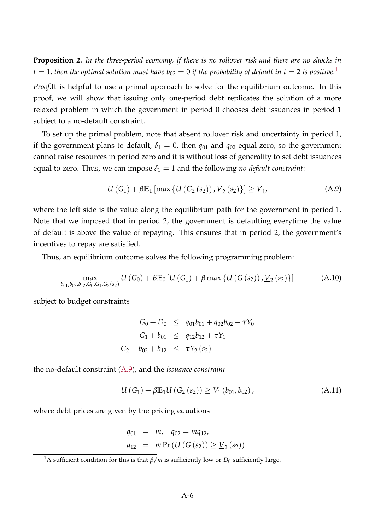**Proposition 2.** *In the three-period economy, if there is no rollover risk and there are no shocks in*  $t = 1$  $t = 1$ , then the optimal solution must have  $b_{02} = 0$  if the probability of default in  $t = 2$  is positive.<sup>1</sup>

*Proof.*It is helpful to use a primal approach to solve for the equilibrium outcome. In this proof, we will show that issuing only one-period debt replicates the solution of a more relaxed problem in which the government in period 0 chooses debt issuances in period 1 subject to a no-default constraint.

To set up the primal problem, note that absent rollover risk and uncertainty in period 1, if the government plans to default,  $\delta_1 = 0$ , then  $q_{01}$  and  $q_{02}$  equal zero, so the government cannot raise resources in period zero and it is without loss of generality to set debt issuances equal to zero. Thus, we can impose  $\delta_1 = 1$  and the following *no-default constraint*:

<span id="page-5-1"></span>
$$
U(G_1) + \beta \mathbb{E}_1 \left[ \max \left\{ U\left(G_2\left(s_2\right)\right), \underline{V}_2\left(s_2\right) \right\} \right] \ge \underline{V}_1,\tag{A.9}
$$

where the left side is the value along the equilibrium path for the government in period 1. Note that we imposed that in period 2, the government is defaulting everytime the value of default is above the value of repaying. This ensures that in period 2, the government's incentives to repay are satisfied.

Thus, an equilibrium outcome solves the following programming problem:

$$
\max_{b_{01},b_{02},b_{12},C_0,G_1,G_2(s_2)} U(G_0) + \beta \mathbb{E}_0 \left[ U(G_1) + \beta \max \left\{ U(G(s_2)), \underline{V}_2(s_2) \right\} \right] \tag{A.10}
$$

subject to budget constraints

<span id="page-5-3"></span>
$$
G_0 + D_0 \leq q_{01}b_{01} + q_{02}b_{02} + \tau Y_0
$$
  
\n
$$
G_1 + b_{01} \leq q_{12}b_{12} + \tau Y_1
$$
  
\n
$$
G_2 + b_{02} + b_{12} \leq \tau Y_2 (s_2)
$$

the no-default constraint [\(A.9\)](#page-5-1), and the *issuance constraint*

<span id="page-5-2"></span>
$$
U(G_1) + \beta \mathbb{E}_1 U(G_2(s_2)) \ge V_1(b_{01}, b_{02}), \qquad (A.11)
$$

where debt prices are given by the pricing equations

$$
q_{01} = m, \quad q_{02} = mq_{12},
$$
  
\n $q_{12} = m \Pr(U(G(s_2)) \ge \underline{V}_2(s_2)).$ 

<span id="page-5-0"></span><sup>&</sup>lt;sup>1</sup>A sufficient condition for this is that  $\beta/m$  is sufficiently low or  $D_0$  sufficiently large.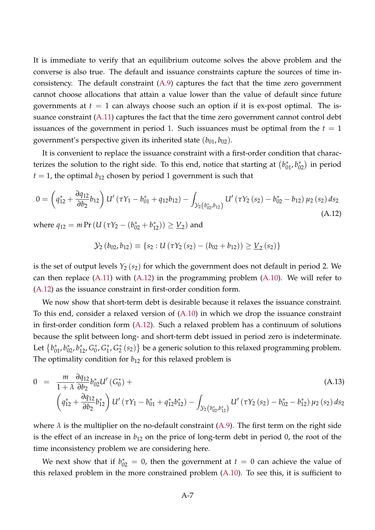It is immediate to verify that an equilibrium outcome solves the above problem and the converse is also true. The default and issuance constraints capture the sources of time inconsistency. The default constraint [\(A.9\)](#page-5-1) captures the fact that the time zero government cannot choose allocations that attain a value lower than the value of default since future governments at  $t = 1$  can always choose such an option if it is ex-post optimal. The issuance constraint [\(A.11\)](#page-5-2) captures the fact that the time zero government cannot control debt issuances of the government in period 1. Such issuances must be optimal from the  $t = 1$ government's perspective given its inherited state  $(b_{01}, b_{02})$ .

It is convenient to replace the issuance constraint with a first-order condition that characterizes the solution to the right side. To this end, notice that starting at  $(b_{01}^*, b_{02}^*)$  in period  $t = 1$ , the optimal  $b_{12}$  chosen by period 1 government is such that

$$
0 = \left(q_{12}^* + \frac{\partial q_{12}}{\partial b_2} b_{12}\right) U'\left(\tau Y_1 - b_{01}^* + q_{12} b_{12}\right) - \int_{\mathcal{Y}_2\left(b_{02}^*, b_{12}\right)} U'\left(\tau Y_2\left(s_2\right) - b_{02}^* - b_{12}\right) \mu_2\left(s_2\right) ds_2\tag{A.12}
$$

where  $q_{12} = m \Pr (U (\tau Y_2 - (b_{02}^* + b_{12}^*)) \geq \underline{V}_2)$  and

<span id="page-6-0"></span>
$$
\mathcal{Y}_2(b_{02}, b_{12}) \equiv \{s_2 : U(\tau Y_2(s_2) - (b_{02} + b_{12})) \geq \underline{V}_2(s_2)\}\
$$

is the set of output levels  $Y_2$  ( $s_2$ ) for which the government does not default in period 2. We can then replace  $(A.11)$  with  $(A.12)$  in the programming problem  $(A.10)$ . We will refer to [\(A.12\)](#page-6-0) as the issuance constraint in first-order condition form.

We now show that short-term debt is desirable because it relaxes the issuance constraint. To this end, consider a relaxed version of [\(A.10\)](#page-5-3) in which we drop the issuance constraint in first-order condition form [\(A.12\)](#page-6-0). Such a relaxed problem has a continuum of solutions because the split between long- and short-term debt issued in period zero is indeterminate. Let  $\{b_{01}^*, b_{02}^*, b_{12}^*, G_0^*\}$ 0 , *G* ∗ 1 , *G* ∗  $_2^*(s_2)$ } be a generic solution to this relaxed programming problem. The optimality condition for  $b_{12}$  for this relaxed problem is

<span id="page-6-1"></span>
$$
0 = \frac{m}{1+\lambda} \frac{\partial q_{12}}{\partial b_2} b_{02}^* U'(G_0^*) +
$$
\n
$$
\left(q_{12}^* + \frac{\partial q_{12}}{\partial b_2} b_{12}^*\right) U'(7Y_1 - b_{01}^* + q_{12}^* b_{12}^*) - \int_{\mathcal{Y}_2\left(b_{02}^*, b_{12}^*\right)} U'(7Y_2(s_2) - b_{02}^* - b_{12}^*) \mu_2(s_2) \, ds_2
$$
\n(A.13)

where  $\lambda$  is the multiplier on the no-default constraint [\(A.9\)](#page-5-1). The first term on the right side is the effect of an increase in  $b_{12}$  on the price of long-term debt in period 0, the root of the time inconsistency problem we are considering here.

We next show that if  $b_{02}^* = 0$ , then the government at  $t = 0$  can achieve the value of this relaxed problem in the more constrained problem [\(A.10\)](#page-5-3). To see this, it is sufficient to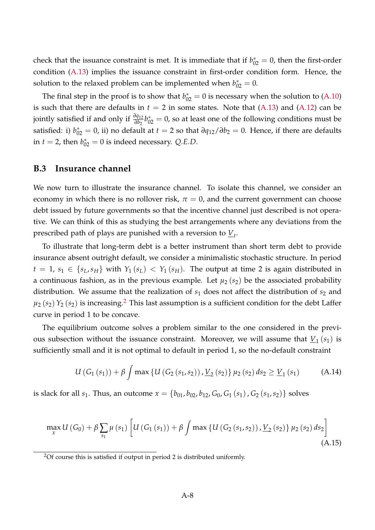check that the issuance constraint is met. It is immediate that if  $b_{02}^* = 0$ , then the first-order condition [\(A.13\)](#page-6-1) implies the issuance constraint in first-order condition form. Hence, the solution to the relaxed problem can be implemented when  $b_{02}^* = 0$ .

The final step in the proof is to show that  $b_{02}^* = 0$  is necessary when the solution to [\(A.10\)](#page-5-3) is such that there are defaults in  $t = 2$  in some states. Note that  $(A.13)$  and  $(A.12)$  can be jointly satisfied if and only if *<sup>∂</sup>q*<sup>12</sup> *∂b*<sup>2</sup> *b* ∗ <sup>02</sup> = 0, so at least one of the following conditions must be satisfied: i)  $b_{02}^* = 0$ , ii) no default at  $t = 2$  so that  $\partial q_{12}/\partial b_2 = 0$ . Hence, if there are defaults in  $t = 2$ , then  $b_{02}^* = 0$  is indeed necessary. *Q.E.D.* 

## **B.3 Insurance channel**

We now turn to illustrate the insurance channel. To isolate this channel, we consider an economy in which there is no rollover risk,  $\pi = 0$ , and the current government can choose debt issued by future governments so that the incentive channel just described is not operative. We can think of this as studying the best arrangements where any deviations from the prescribed path of plays are punished with a reversion to *V<sup>t</sup>* .

To illustrate that long-term debt is a better instrument than short term debt to provide insurance absent outright default, we consider a minimalistic stochastic structure. In period  $t = 1$ ,  $s_1 \in \{s_L, s_H\}$  with  $Y_1(s_L) < Y_1(s_H)$ . The output at time 2 is again distributed in a continuous fashion, as in the previous example. Let  $\mu_2(s_2)$  be the associated probability distribution. We assume that the realization of  $s_1$  does not affect the distribution of  $s_2$  and  $\mu_2$  $\mu_2$  ( $s_2$ )  $Y_2$  ( $s_2$ ) is increasing.<sup>2</sup> This last assumption is a sufficient condition for the debt Laffer curve in period 1 to be concave.

The equilibrium outcome solves a problem similar to the one considered in the previous subsection without the issuance constraint. Moreover, we will assume that  $\underline{V}_1\left(s_1\right)$  is sufficiently small and it is not optimal to default in period 1, so the no-default constraint

$$
U(G_1(s_1)) + \beta \int \max \left\{ U(G_2(s_1, s_2)), \underline{V}_2(s_2) \right\} \mu_2(s_2) \, ds_2 \ge \underline{V}_1(s_1) \tag{A.14}
$$

<span id="page-7-1"></span>is slack for all *s*<sub>1</sub>. Thus, an outcome  $x = \{b_{01}, b_{02}, b_{12}, G_0, G_1(s_1), G_2(s_1, s_2)\}$  solves

$$
\max_{x} U\left(G_{0}\right) + \beta \sum_{s_{1}} \mu\left(s_{1}\right) \left[U\left(G_{1}\left(s_{1}\right)\right) + \beta \int \max\left\{U\left(G_{2}\left(s_{1}, s_{2}\right)\right), \underline{V}_{2}\left(s_{2}\right)\right\} \mu_{2}\left(s_{2}\right) ds_{2}\right] \tag{A.15}
$$

<span id="page-7-0"></span><sup>2</sup>Of course this is satisfied if output in period 2 is distributed uniformly.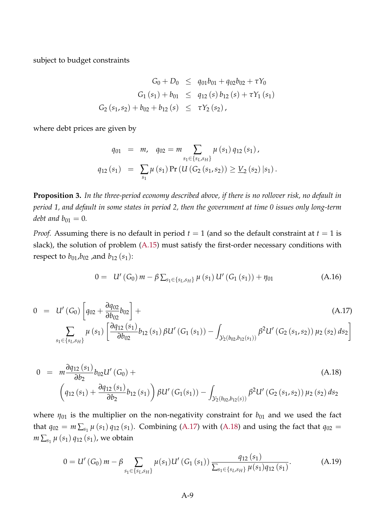subject to budget constraints

$$
G_0 + D_0 \leq q_{01}b_{01} + q_{02}b_{02} + \tau Y_0
$$
  
\n
$$
G_1(s_1) + b_{01} \leq q_{12}(s) b_{12}(s) + \tau Y_1(s_1)
$$
  
\n
$$
G_2(s_1, s_2) + b_{02} + b_{12}(s) \leq \tau Y_2(s_2),
$$

where debt prices are given by

$$
q_{01} = m, \quad q_{02} = m \sum_{s_1 \in \{s_L, s_H\}} \mu(s_1) q_{12}(s_1),
$$

$$
q_{12}(s_1) = \sum_{s_1} \mu(s_1) \Pr\left(U\left(G_2(s_1, s_2)\right) \ge \underline{V}_2(s_2) \, | s_1\right).
$$

**Proposition 3.** *In the three-period economy described above, if there is no rollover risk, no default in period 1, and default in some states in period 2, then the government at time 0 issues only long-term debt and*  $b_{01} = 0$ *.* 

*Proof.* Assuming there is no default in period  $t = 1$  (and so the default constraint at  $t = 1$  is slack), the solution of problem [\(A.15\)](#page-7-1) must satisfy the first-order necessary conditions with respect to  $b_{01}$ , $b_{02}$ , and  $b_{12}$  (s<sub>1</sub>):

<span id="page-8-2"></span>
$$
0 = U'(G_0) m - \beta \sum_{s_1 \in \{s_L, s_H\}} \mu(s_1) U'(G_1(s_1)) + \eta_{01}
$$
 (A.16)

<span id="page-8-0"></span>
$$
0 = U'(G_0) \left[ q_{02} + \frac{\partial q_{02}}{\partial b_{02}} b_{02} \right] +
$$
\n
$$
\sum_{s_1 \in \{s_L, s_H\}} \mu(s_1) \left[ \frac{\partial q_{12}(s_1)}{\partial b_{02}} b_{12}(s_1) \beta U'(G_1(s_1)) - \int_{\mathcal{Y}_2(b_{02}, b_{12}(s_1))} \beta^2 U'(G_2(s_1, s_2)) \mu_2(s_2) ds_2 \right]
$$
\n(A.17)

<span id="page-8-1"></span>
$$
0 = m \frac{\partial q_{12}(s_1)}{\partial b_2} b_{02} U'(G_0) +
$$
\n
$$
\left(q_{12}(s_1) + \frac{\partial q_{12}(s_1)}{\partial b_2} b_{12}(s_1)\right) \beta U'(G_1(s_1)) - \int_{\mathcal{Y}_2(b_{02}, b_{12}(s))} \beta^2 U'(G_2(s_1, s_2)) \mu_2(s_2) ds_2
$$
\n(A.18)

where  $\eta_{01}$  is the multiplier on the non-negativity constraint for  $b_{01}$  and we used the fact that  $q_{02} = m \sum_{s_1} \mu(s_1) q_{12}(s_1)$ . Combining [\(A.17\)](#page-8-0) with [\(A.18\)](#page-8-1) and using the fact that  $q_{02} =$  $m\sum_{s_1}\mu\left(s_1\right)q_{12}\left(s_1\right)$ , we obtain

<span id="page-8-3"></span>
$$
0 = U'(G_0) m - \beta \sum_{s_1 \in \{s_L, s_H\}} \mu(s_1) U'(G_1(s_1)) \frac{q_{12}(s_1)}{\sum_{s_1 \in \{s_L, s_H\}} \mu(s_1) q_{12}(s_1)}.
$$
 (A.19)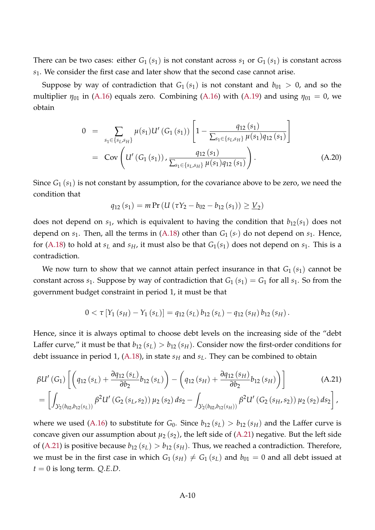There can be two cases: either  $G_1(s_1)$  is not constant across  $s_1$  or  $G_1(s_1)$  is constant across *s*1. We consider the first case and later show that the second case cannot arise.

Suppose by way of contradiction that  $G_1(s_1)$  is not constant and  $b_{01} > 0$ , and so the multiplier  $\eta_{01}$  in [\(A.16\)](#page-8-2) equals zero. Combining (A.16) with [\(A.19\)](#page-8-3) and using  $\eta_{01} = 0$ , we obtain

$$
0 = \sum_{s_1 \in \{s_L, s_H\}} \mu(s_1) U' (G_1(s_1)) \left[ 1 - \frac{q_{12}(s_1)}{\sum_{s_1 \in \{s_L, s_H\}} \mu(s_1) q_{12}(s_1)} \right]
$$
  
= Cov $\left( U' (G_1(s_1)) , \frac{q_{12}(s_1)}{\sum_{s_1 \in \{s_L, s_H\}} \mu(s_1) q_{12}(s_1)} \right)$ . (A.20)

Since *G*<sup>1</sup> (*s*1) is not constant by assumption, for the covariance above to be zero, we need the condition that

$$
q_{12}(s_1) = m \Pr \left( U \left( \tau Y_2 - b_{02} - b_{12}(s_1) \right) \geq \underline{V}_2 \right)
$$

does not depend on  $s_1$ , which is equivalent to having the condition that  $b_{12}(s_1)$  does not depend on  $s_1$ . Then, all the terms in [\(A.18\)](#page-8-1) other than  $G_1(s)$  do not depend on  $s_1$ . Hence, for [\(A.18\)](#page-8-1) to hold at  $s_L$  and  $s_H$ , it must also be that  $G_1(s_1)$  does not depend on  $s_1$ . This is a contradiction.

We now turn to show that we cannot attain perfect insurance in that  $G_1(s_1)$  cannot be constant across  $s_1$ . Suppose by way of contradiction that  $G_1$  ( $s_1$ ) =  $G_1$  for all  $s_1$ . So from the government budget constraint in period 1, it must be that

<span id="page-9-0"></span>
$$
0 < \tau \left[ Y_1 \left( s_H \right) - Y_1 \left( s_L \right) \right] = q_{12} \left( s_L \right) b_{12} \left( s_L \right) - q_{12} \left( s_H \right) b_{12} \left( s_H \right).
$$

Hence, since it is always optimal to choose debt levels on the increasing side of the "debt Laffer curve," it must be that  $b_{12}(s_L) > b_{12}(s_H)$ . Consider now the first-order conditions for debt issuance in period 1, [\(A.18\)](#page-8-1), in state *s<sup>H</sup>* and *sL*. They can be combined to obtain

$$
\beta U' (G_1) \left[ \left( q_{12} (s_L) + \frac{\partial q_{12} (s_L)}{\partial b_2} b_{12} (s_L) \right) - \left( q_{12} (s_H) + \frac{\partial q_{12} (s_H)}{\partial b_2} b_{12} (s_H) \right) \right]
$$
(A.21)  
= 
$$
\left[ \int_{\mathcal{Y}_2(b_{02}, b_{12}(s_L))} \beta^2 U' (G_2 (s_L, s_2)) \mu_2 (s_2) ds_2 - \int_{\mathcal{Y}_2(b_{02}, b_{12}(s_H))} \beta^2 U' (G_2 (s_H, s_2)) \mu_2 (s_2) ds_2 \right],
$$

where we used [\(A.16\)](#page-8-2) to substitute for  $G_0$ . Since  $b_{12}(s_L) > b_{12}(s_H)$  and the Laffer curve is concave given our assumption about  $\mu_2$  ( $s_2$ ), the left side of [\(A.21\)](#page-9-0) negative. But the left side of [\(A.21\)](#page-9-0) is positive because  $b_{12}(s_L) > b_{12}(s_H)$ . Thus, we reached a contradiction. Therefore, we must be in the first case in which  $G_1(s_H) \neq G_1(s_L)$  and  $b_{01} = 0$  and all debt issued at  $t = 0$  is long term. *Q.E.D.*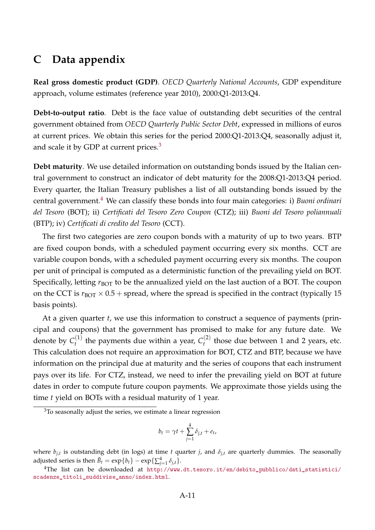# **C Data appendix**

**Real gross domestic product (GDP)**. *OECD Quarterly National Accounts*, GDP expenditure approach, volume estimates (reference year 2010), 2000:Q1-2013:Q4.

**Debt-to-output ratio**. Debt is the face value of outstanding debt securities of the central government obtained from *OECD Quarterly Public Sector Debt*, expressed in millions of euros at current prices. We obtain this series for the period 2000:Q1-2013:Q4, seasonally adjust it, and scale it by GDP at current prices.<sup>[3](#page-10-0)</sup>

**Debt maturity**. We use detailed information on outstanding bonds issued by the Italian central government to construct an indicator of debt maturity for the 2008:Q1-2013:Q4 period. Every quarter, the Italian Treasury publishes a list of all outstanding bonds issued by the central government.[4](#page-10-1) We can classify these bonds into four main categories: i) *Buoni ordinari del Tesoro* (BOT); ii) *Certificati del Tesoro Zero Coupon* (CTZ); iii) *Buoni del Tesoro poliannuali* (BTP); iv) *Certificati di credito del Tesoro* (CCT).

The first two categories are zero coupon bonds with a maturity of up to two years. BTP are fixed coupon bonds, with a scheduled payment occurring every six months. CCT are variable coupon bonds, with a scheduled payment occurring every six months. The coupon per unit of principal is computed as a deterministic function of the prevailing yield on BOT. Specifically, letting  $r_{\text{ROT}}$  to be the annualized yield on the last auction of a BOT. The coupon on the CCT is  $r_{\text{ROT}} \times 0.5 + \text{spread}$ , where the spread is specified in the contract (typically 15 basis points).

At a given quarter *t*, we use this information to construct a sequence of payments (principal and coupons) that the government has promised to make for any future date. We denote by  $C_t^{(1)}$  $t_t^{(1)}$  the payments due within a year,  $C_t^{(2)}$  $t_t^{(2)}$  those due between 1 and 2 years, etc. This calculation does not require an approximation for BOT, CTZ and BTP, because we have information on the principal due at maturity and the series of coupons that each instrument pays over its life. For CTZ, instead, we need to infer the prevailing yield on BOT at future dates in order to compute future coupon payments. We approximate those yields using the time *t* yield on BOTs with a residual maturity of 1 year.

$$
b_t = \gamma t + \sum_{j=1}^4 \delta_{j,t} + e_t,
$$

where *bj*,*<sup>t</sup>* is outstanding debt (in logs) at time *t* quarter *j*, and *δj*,*<sup>t</sup>* are quarterly dummies. The seasonally adjusted series is then  $\tilde{B}_t = \exp\{b_t\} - \exp\{\sum_{j=1}^4 \delta_{j,t}\}.$ 

<span id="page-10-0"></span> $3$ To seasonally adjust the series, we estimate a linear regression

<span id="page-10-1"></span><sup>4</sup>The list can be downloaded at [http://www.dt.tesoro.it/en/debito\\_pubblico/dati\\_statistici/](http://www.dt.tesoro.it/en/debito_pubblico/dati_statistici/scadenze_titoli_suddivise_anno/index.html) [scadenze\\_titoli\\_suddivise\\_anno/index.html](http://www.dt.tesoro.it/en/debito_pubblico/dati_statistici/scadenze_titoli_suddivise_anno/index.html).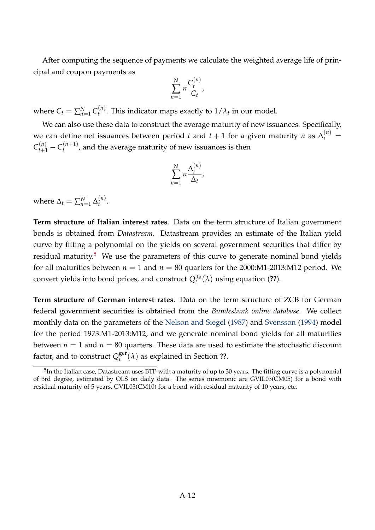After computing the sequence of payments we calculate the weighted average life of principal and coupon payments as

$$
\sum_{n=1}^N n \frac{C_t^{(n)}}{C_t},
$$

where  $C_t = \sum_{n=1}^{N} C_t^{(n)}$  $t^{(n)}$ . This indicator maps exactly to  $1/\lambda_t$  in our model.

We can also use these data to construct the average maturity of new issuances. Specifically, we can define net issuances between period *t* and  $t + 1$  for a given maturity *n* as  $\Delta_t^{(n)}$  =  $C_{t+1}^{(n)} - C_t^{(n+1)}$  $t_t^{(n+1)}$ , and the average maturity of new issuances is then

$$
\sum_{n=1}^N n \frac{\Delta_t^{(n)}}{\Delta_t},
$$

where  $\Delta_t = \sum_{n=1}^{N} \Delta_t^{(n)}$  $t^{(n)}$ .

**Term structure of Italian interest rates**. Data on the term structure of Italian government bonds is obtained from *Datastream*. Datastream provides an estimate of the Italian yield curve by fitting a polynomial on the yields on several government securities that differ by residual maturity.<sup>[5](#page-11-0)</sup> We use the parameters of this curve to generate nominal bond yields for all maturities between  $n = 1$  and  $n = 80$  quarters for the 2000:M1-2013:M12 period. We convert yields into bond prices, and construct  $Q_t^{ita}(\lambda)$  using equation (??).

**Term structure of German interest rates**. Data on the term structure of ZCB for German federal government securities is obtained from the *Bundesbank online database*. We collect monthly data on the parameters of the [Nelson and Siegel](#page-30-0) [\(1987\)](#page-30-0) and [Svensson](#page-30-1) [\(1994\)](#page-30-1) model for the period 1973:M1-2013:M12, and we generate nominal bond yields for all maturities between  $n = 1$  and  $n = 80$  quarters. These data are used to estimate the stochastic discount factor, and to construct  $Q_t^{\rm ger}$  $t_t^{\text{get}}(\lambda)$  as explained in Section **??**.

<span id="page-11-0"></span> $^5$ In the Italian case, Datastream uses BTP with a maturity of up to 30 years. The fitting curve is a polynomial of 3rd degree, estimated by OLS on daily data. The series mnemonic are GVIL03(CM05) for a bond with residual maturity of 5 years, GVIL03(CM10) for a bond with residual maturity of 10 years, etc.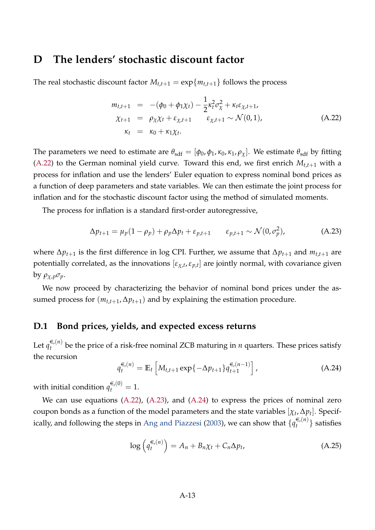# **D The lenders' stochastic discount factor**

The real stochastic discount factor  $M_{t,t+1} = \exp\{m_{t,t+1}\}\$  follows the process

<span id="page-12-0"></span>
$$
m_{t,t+1} = -(\phi_0 + \phi_1 \chi_t) - \frac{1}{2} \kappa_t^2 \sigma_{\chi}^2 + \kappa_t \varepsilon_{\chi,t+1},
$$
  
\n
$$
\chi_{t+1} = \rho_{\chi} \chi_t + \varepsilon_{\chi,t+1} \qquad \varepsilon_{\chi,t+1} \sim \mathcal{N}(0,1),
$$
  
\n
$$
\kappa_t = \kappa_0 + \kappa_1 \chi_t.
$$
 (A.22)

The parameters we need to estimate are  $\theta_{\text{sdf}} = [\phi_0, \phi_1, \kappa_0, \kappa_1, \rho_\chi]$ . We estimate  $\theta_{\text{sdf}}$  by fitting [\(A.22\)](#page-12-0) to the German nominal yield curve. Toward this end, we first enrich  $M_{t,t+1}$  with a process for inflation and use the lenders' Euler equation to express nominal bond prices as a function of deep parameters and state variables. We can then estimate the joint process for inflation and for the stochastic discount factor using the method of simulated moments.

The process for inflation is a standard first-order autoregressive,

<span id="page-12-1"></span>
$$
\Delta p_{t+1} = \mu_p (1 - \rho_p) + \rho_p \Delta p_t + \varepsilon_{p,t+1} \qquad \varepsilon_{p,t+1} \sim \mathcal{N}(0, \sigma_p^2), \tag{A.23}
$$

where  $\Delta p_{t+1}$  is the first difference in log CPI. Further, we assume that  $\Delta p_{t+1}$  and  $m_{t,t+1}$  are potentially correlated, as the innovations [*εχ*,*<sup>t</sup>* ,*ε <sup>p</sup>*,*<sup>t</sup>* ] are jointly normal, with covariance given by *ρχ*,*pσp*.

We now proceed by characterizing the behavior of nominal bond prices under the assumed process for  $(m_{t,t+1}, \Delta p_{t+1})$  and by explaining the estimation procedure.

### **D.1 Bond prices, yields, and expected excess returns**

Let  $q_t^{\in (n)}$  $t_t^{(n)}$  be the price of a risk-free nominal ZCB maturing in *n* quarters. These prices satisfy the recursion

<span id="page-12-2"></span>
$$
q_t^{\epsilon,(n)} = \mathbb{E}_t \left[ M_{t,t+1} \exp\{-\Delta p_{t+1}\} q_{t+1}^{\epsilon,(n-1)} \right], \tag{A.24}
$$

with initial condition  $q_t^{\in (0)} = 1$ .

<span id="page-12-3"></span>We can use equations [\(A.22\)](#page-12-0), [\(A.23\)](#page-12-1), and [\(A.24\)](#page-12-2) to express the prices of nominal zero coupon bonds as a function of the model parameters and the state variables  $[\chi_t, \Delta p_t]$ . Specif-ically, and following the steps in [Ang and Piazzesi](#page-30-2) [\(2003\)](#page-30-2), we can show that  $\{q^{\in (n)}_t$  $\{t^{(n)}\}$  satisfies

$$
\log\left(q_t^{\epsilon_n(n)}\right) = A_n + B_n \chi_t + C_n \Delta p_t,\tag{A.25}
$$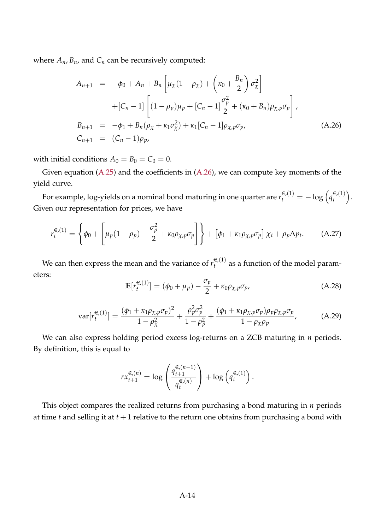where  $A_n$ ,  $B_n$ , and  $C_n$  can be recursively computed:

<span id="page-13-0"></span>
$$
A_{n+1} = -\phi_0 + A_n + B_n \left[ \mu_\chi (1 - \rho_\chi) + \left( \kappa_0 + \frac{B_n}{2} \right) \sigma_\chi^2 \right] + [C_n - 1] \left[ (1 - \rho_p) \mu_p + [C_n - 1] \frac{\sigma_p^2}{2} + (\kappa_0 + B_n) \rho_{\chi, p} \sigma_p \right],
$$
  

$$
B_{n+1} = -\phi_1 + B_n (\rho_\chi + \kappa_1 \sigma_\chi^2) + \kappa_1 [C_n - 1] \rho_{\chi, p} \sigma_p,
$$
  

$$
C_{n+1} = (C_n - 1) \rho_p,
$$
 (A.26)

with initial conditions  $A_0 = B_0 = C_0 = 0$ .

Given equation [\(A.25\)](#page-12-3) and the coefficients in [\(A.26\)](#page-13-0), we can compute key moments of the yield curve.

For example, log-yields on a nominal bond maturing in one quarter are  $r_t^{\infty(1)} = -\log\left(q_t^{\infty(1)}\right)$ *t* . Given our representation for prices, we have

$$
r_t^{\in (1)} = \left\{ \phi_0 + \left[ \mu_p (1 - \rho_p) - \frac{\sigma_p^2}{2} + \kappa_0 \rho_{\chi, p} \sigma_p \right] \right\} + \left[ \phi_1 + \kappa_1 \rho_{\chi, p} \sigma_p \right] \chi_t + \rho_p \Delta p_t. \tag{A.27}
$$

We can then express the mean and the variance of  $r^{\in (1)}_t$  $t_t^{(1)}$  as a function of the model parameters:

$$
\mathbb{E}[r_t^{\in (1)}] = (\phi_0 + \mu_p) - \frac{\sigma_p}{2} + \kappa_0 \rho_{\chi, p} \sigma_p,
$$
\n(A.28)

$$
\text{var}[r_t^{\in (1)}] = \frac{(\phi_1 + \kappa_1 \rho_{\chi, p} \sigma_p)^2}{1 - \rho_\chi^2} + \frac{\rho_p^2 \sigma_p^2}{1 - \rho_p^2} + \frac{(\phi_1 + \kappa_1 \rho_{\chi, p} \sigma_p) \rho_p \rho_{\chi, p} \sigma_p}{1 - \rho_\chi \rho_p},\tag{A.29}
$$

We can also express holding period excess log-returns on a ZCB maturing in *n* periods. By definition, this is equal to

$$
rx_{t+1}^{\epsilon,(n)} = \log \left( \frac{q_{t+1}^{\epsilon,(n-1)}}{q_t^{\epsilon,(n)}} \right) + \log \left( q_t^{\epsilon,(1)} \right).
$$

This object compares the realized returns from purchasing a bond maturing in *n* periods at time *t* and selling it at *t* + 1 relative to the return one obtains from purchasing a bond with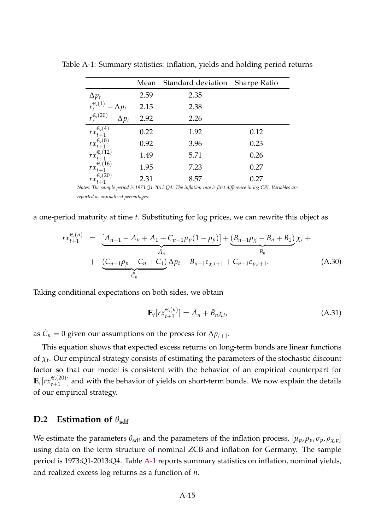<span id="page-14-0"></span>

| 2.59<br>2.15<br>2.92 | 2.35<br>2.38 |                                                                                                               |
|----------------------|--------------|---------------------------------------------------------------------------------------------------------------|
|                      |              |                                                                                                               |
|                      |              |                                                                                                               |
|                      | 2.26         |                                                                                                               |
| 0.22                 | 1.92         | 0.12                                                                                                          |
| 0.92                 | 3.96         | 0.23                                                                                                          |
| 1.49                 | 5.71         | 0.26                                                                                                          |
| 1.95                 | 7.23         | 0.27                                                                                                          |
| 2.31                 | 8.57         | 0.27                                                                                                          |
|                      |              | Notes: The sample period is 1973:Q1-2013:Q4. The inflation rate is first difference in log CPI. Variables are |

Table A-1: Summary statistics: inflation, yields and holding period returns

*reported as annualized percentages.*

a one-period maturity at time *t*. Substituting for log prices, we can rewrite this object as

$$
rx_{t+1}^{\epsilon,(n)} = \underbrace{[A_{n-1} - A_n + A_1 + C_{n-1}\mu_p(1-\rho_p)]}_{\tilde{A}_n} + \underbrace{(C_{n-1}\rho_p - C_n + C_1)}_{\tilde{C}_n} \Delta p_t + B_{n-1}\varepsilon_{\chi,t+1} + C_{n-1}\varepsilon_{p,t+1}.
$$
 (A.30)

Taking conditional expectations on both sides, we obtain

$$
\mathbb{E}_t[r\mathbf{x}_{t+1}^{\in(n)}] = \tilde{A}_n + \tilde{B}_n\chi_t,\tag{A.31}
$$

as  $\tilde{C}_n = 0$  given our assumptions on the process for  $\Delta p_{t+1}$ .

This equation shows that expected excess returns on long-term bonds are linear functions of *χ<sup>t</sup>* . Our empirical strategy consists of estimating the parameters of the stochastic discount factor so that our model is consistent with the behavior of an empirical counterpart for  $\mathbb{E}_t[r x_{t+1}^{\infty(20)}$  $\epsilon_{t+1}^{(20)}$  and with the behavior of yields on short-term bonds. We now explain the details of our empirical strategy.

## **D.2** Estimation of  $\theta_{\text{sdf}}$

We estimate the parameters  $\theta_{\text{sdf}}$  and the parameters of the inflation process,  $[\mu_p, \rho_p, \sigma_p, \rho_{\chi,p}]$ using data on the term structure of nominal ZCB and inflation for Germany. The sample period is 1973:Q1-2013:Q4. Table [A-1](#page-14-0) reports summary statistics on inflation, nominal yields, and realized excess log returns as a function of *n*.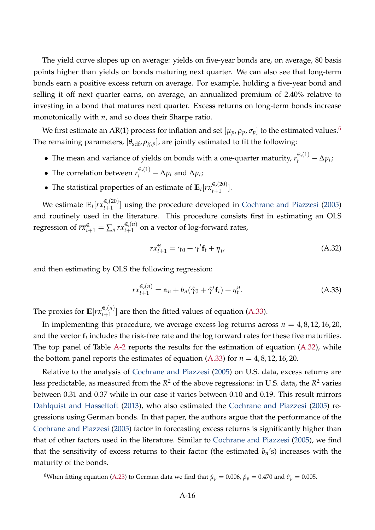The yield curve slopes up on average: yields on five-year bonds are, on average, 80 basis points higher than yields on bonds maturing next quarter. We can also see that long-term bonds earn a positive excess return on average. For example, holding a five-year bond and selling it off next quarter earns, on average, an annualized premium of 2.40% relative to investing in a bond that matures next quarter. Excess returns on long-term bonds increase monotonically with *n*, and so does their Sharpe ratio.

We first estimate an AR(1) process for inflation and set  $[\mu_p, \rho_p, \sigma_p]$  to the estimated values.<sup>[6](#page-15-0)</sup> The remaining parameters,  $[\theta_{\text{sdf}}, \rho_{\chi, p}]$ , are jointly estimated to fit the following:

- The mean and variance of yields on bonds with a one-quarter maturity,  $r_t^{\epsilon,(1)} \Delta p_t$ ;
- The correlation between  $r_t^{\epsilon,(1)} \Delta p_t$  and  $\Delta p_t$ ;
- The statistical properties of an estimate of  $\mathbb{E}_t[r\mathbf{x}_{t+1}^{\in(20)}]$  $\left[\frac{1}{t+1}\right]$ .

We estimate  $\mathbb{E}_t[r_{t+1}^{\infty,(20)}$  $\epsilon_{t+1}^{(20)}$  using the procedure developed in [Cochrane and Piazzesi](#page-30-3) [\(2005\)](#page-30-3) and routinely used in the literature. This procedure consists first in estimating an OLS regression of  $\overline{rx}_{t+1}^{\infty} = \sum_{n} rx_{t+1}^{\infty}(n)$  $t+1$  on a vector of log-forward rates,

<span id="page-15-2"></span><span id="page-15-1"></span>
$$
\overline{rx}_{t+1}^{\in} = \gamma_0 + \gamma' \mathbf{f}_t + \overline{\eta}_t, \tag{A.32}
$$

and then estimating by OLS the following regression:

$$
rx_{t+1}^{\in,(n)} = \alpha_n + b_n(\hat{\gamma}_0 + \hat{\gamma}' \mathbf{f}_t) + \eta_t^n.
$$
 (A.33)

The proxies for  $\mathbb{E}[rx^{\in (n)}_{t+1}]$  $\mathcal{L}_{t+1}^{(n)}$  are then the fitted values of equation [\(A.33\)](#page-15-1).

In implementing this procedure, we average excess log returns across  $n = 4, 8, 12, 16, 20$ , and the vector  $\mathbf{f}_t$  includes the risk-free rate and the log forward rates for these five maturities. The top panel of Table [A-2](#page-16-0) reports the results for the estimation of equation [\(A.32\)](#page-15-2), while the bottom panel reports the estimates of equation  $(A.33)$  for  $n = 4, 8, 12, 16, 20$ .

Relative to the analysis of [Cochrane and Piazzesi](#page-30-3) [\(2005\)](#page-30-3) on U.S. data, excess returns are less predictable, as measured from the *R* <sup>2</sup> of the above regressions: in U.S. data, the *R* <sup>2</sup> varies between 0.31 and 0.37 while in our case it varies between 0.10 and 0.19. This result mirrors [Dahlquist and Hasseltoft](#page-30-4) [\(2013\)](#page-30-4), who also estimated the [Cochrane and Piazzesi](#page-30-3) [\(2005\)](#page-30-3) regressions using German bonds. In that paper, the authors argue that the performance of the [Cochrane and Piazzesi](#page-30-3) [\(2005\)](#page-30-3) factor in forecasting excess returns is significantly higher than that of other factors used in the literature. Similar to [Cochrane and Piazzesi](#page-30-3) [\(2005\)](#page-30-3), we find that the sensitivity of excess returns to their factor (the estimated  $b_n$ 's) increases with the maturity of the bonds.

<span id="page-15-0"></span><sup>&</sup>lt;sup>6</sup>When fitting equation [\(A.23\)](#page-12-1) to German data we find that  $\hat{\mu}_p = 0.006$ ,  $\hat{\rho}_p = 0.470$  and  $\hat{\sigma}_p = 0.005$ .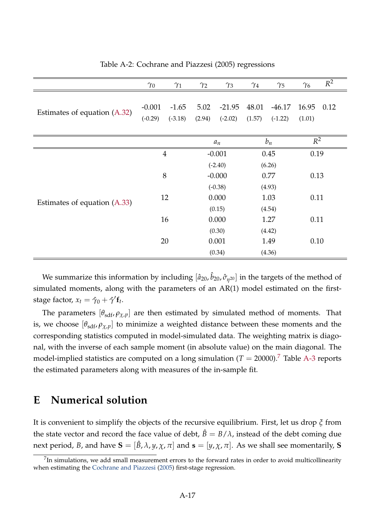|                              | $\gamma_0$     | $\gamma_1$ | $\gamma_2$ | $\gamma_3$ | $\gamma_4$ | $\gamma_5$ | $\gamma_6$ | $R^2$ |
|------------------------------|----------------|------------|------------|------------|------------|------------|------------|-------|
|                              | $-0.001$       | $-1.65$    | 5.02       | $-21.95$   | 48.01      | $-46.17$   | 16.95      | 0.12  |
| Estimates of equation (A.32) | $(-0.29)$      | $(-3.18)$  | (2.94)     | $(-2.02)$  | (1.57)     | $(-1.22)$  | (1.01)     |       |
|                              |                |            |            |            |            |            |            |       |
|                              |                |            | $a_n$      |            | $b_n$      |            | $R^2$      |       |
| Estimates of equation (A.33) | $\overline{4}$ |            | $-0.001$   |            | 0.45       |            | 0.19       |       |
|                              |                |            | $(-2.40)$  |            | (6.26)     |            |            |       |
|                              | 8              |            | $-0.000$   |            | 0.77       |            | 0.13       |       |
|                              |                |            | $(-0.38)$  |            | (4.93)     |            |            |       |
|                              | 12             |            | 0.000      |            | 1.03       |            | 0.11       |       |
|                              |                |            | (0.15)     |            | (4.54)     |            |            |       |
|                              | 16             |            | 0.000      |            | 1.27       |            | 0.11       |       |
|                              | 20             |            | (0.30)     |            | (4.42)     |            |            |       |
|                              |                |            | 0.001      |            | 1.49       |            | 0.10       |       |
|                              |                |            | (0.34)     |            | (4.36)     |            |            |       |

<span id="page-16-0"></span>Table A-2: Cochrane and Piazzesi (2005) regressions

We summarize this information by including  $[\hat{a}_{20}, \hat{b}_{20}, \hat{\sigma}_{\eta^{20}}]$  in the targets of the method of simulated moments, along with the parameters of an AR(1) model estimated on the firststage factor,  $x_t = \hat{\gamma}_0 + \hat{\gamma}' \mathbf{f}_t$ .

The parameters  $[\theta_{\text{sdf}}, \rho_{\chi, p}]$  are then estimated by simulated method of moments. That is, we choose  $[\theta_{\text{sdf}}, \rho_{\chi,p}]$  to minimize a weighted distance between these moments and the corresponding statistics computed in model-simulated data. The weighting matrix is diagonal, with the inverse of each sample moment (in absolute value) on the main diagonal. The model-implied statistics are computed on a long simulation  $(T = 20000)^7$  $(T = 20000)^7$  Table [A-3](#page-17-0) reports the estimated parameters along with measures of the in-sample fit.

# <span id="page-16-2"></span>**E Numerical solution**

It is convenient to simplify the objects of the recursive equilibrium. First, let us drop *ξ* from the state vector and record the face value of debt,  $\hat{B} = B/\lambda$ , instead of the debt coming due next period, *B*, and have  $S = [\hat{B}, \lambda, y, \chi, \pi]$  and  $s = [y, \chi, \pi]$ . As we shall see momentarily, S

<span id="page-16-1"></span> $^{7}$ In simulations, we add small measurement errors to the forward rates in order to avoid multicollinearity when estimating the [Cochrane and Piazzesi](#page-30-3) [\(2005\)](#page-30-3) first-stage regression.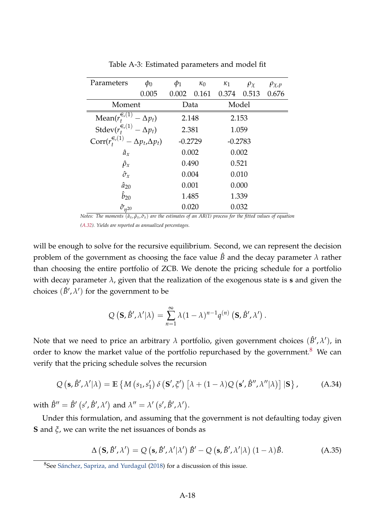| Parameters                                            | $\phi_0$                   | $\phi_1$  | $\kappa_0$ | $\kappa_1$ | $\rho_{\chi}$ | $\rho_{\chi,p}$ |
|-------------------------------------------------------|----------------------------|-----------|------------|------------|---------------|-----------------|
|                                                       | 0.005                      | 0.002     | 0.161      | 0.374      | 0.513         | 0.676           |
| Moment                                                |                            | Data      |            | Model      |               |                 |
| Mean( $r_t^{\infty}(\overline{1})$<br>$-\Delta p_t$ ) |                            | 2.148     |            | 2.153      |               |                 |
| Stdev $(r_t^{\in (1)} - \Delta p_t)$                  |                            | 2.381     |            | 1.059      |               |                 |
| $\text{Corr}(r^{\infty/1)}_t$                         | $-\Delta p_t, \Delta p_t)$ | $-0.2729$ |            | $-0.2783$  |               |                 |
| $\hat{a}_x$                                           |                            | 0.002     |            | 0.002      |               |                 |
| $\hat{\rho}_x$                                        |                            | 0.490     |            | 0.521      |               |                 |
| $\hat{\sigma}_x$                                      |                            | 0.004     |            | 0.010      |               |                 |
| $\hat{a}_{20}$                                        |                            | 0.001     |            | 0.000      |               |                 |
| $\hat{b}_{20}$                                        |                            | 1.485     |            | 1.339      |               |                 |
| $\hat{\sigma}_{n^{20}}$                               |                            | 0.020     |            | 0.032      |               |                 |

<span id="page-17-0"></span>Table A-3: Estimated parameters and model fit

*Notes: The moments* (*a*ˆ*x*, *ρ*ˆ*x*, *σ*ˆ*x*) *are the estimates of an AR(1) process for the fitted values of equation*

*[\(A.32\)](#page-15-2). Yields are reported as annualized percentages.*

will be enough to solve for the recursive equilibrium. Second, we can represent the decision problem of the government as choosing the face value  $\hat{B}$  and the decay parameter  $\lambda$  rather than choosing the entire portfolio of ZCB. We denote the pricing schedule for a portfolio with decay parameter *λ*, given that the realization of the exogenous state is **s** and given the choices  $(\hat{B}', \lambda')$  for the government to be

<span id="page-17-3"></span>
$$
Q\left(\mathbf{S},\hat{B}',\lambda'|\lambda\right)=\sum_{n=1}^{\infty}\lambda(1-\lambda)^{n-1}q^{(n)}\left(\mathbf{S},\hat{B}',\lambda'\right).
$$

Note that we need to price an arbitrary  $\lambda$  portfolio, given government choices  $(\hat{B}', \lambda')$ , in order to know the market value of the portfolio repurchased by the government.<sup>[8](#page-17-1)</sup> We can verify that the pricing schedule solves the recursion

$$
Q\left(\mathbf{s}, \hat{\mathbf{\beta}}', \lambda' | \lambda\right) = \mathbb{E}\left\{ M\left(s_1, s_1'\right) \delta\left(\mathbf{S'}, \xi'\right) \left[ \lambda + (1 - \lambda) Q\left(\mathbf{s'}, \hat{\mathbf{\beta}}'', \lambda'' | \lambda\right) \right] | \mathbf{S} \right\},\tag{A.34}
$$

with  $\hat{B}'' = \hat{B}'(s', \hat{B}', \lambda')$  and  $\lambda'' = \lambda'(s', \hat{B}', \lambda')$ .

Under this formulation, and assuming that the government is not defaulting today given **S** and *ξ*, we can write the net issuances of bonds as

<span id="page-17-2"></span>
$$
\Delta (\mathbf{S}, \hat{\mathbf{B}}', \lambda') = Q (\mathbf{s}, \hat{\mathbf{B}}', \lambda' | \lambda') \hat{\mathbf{B}}' - Q (\mathbf{s}, \hat{\mathbf{B}}', \lambda' | \lambda) (1 - \lambda) \hat{\mathbf{B}}.
$$
 (A.35)

<span id="page-17-1"></span><sup>8</sup>See [Sánchez, Sapriza, and Yurdagul](#page-30-5) [\(2018\)](#page-30-5) for a discussion of this issue.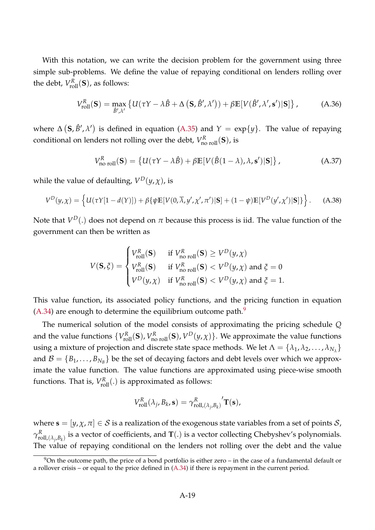With this notation, we can write the decision problem for the government using three simple sub-problems. We define the value of repaying conditional on lenders rolling over the debt,  $V_{\text{roll}}^R(\mathbf{S})$ , as follows:

<span id="page-18-1"></span>
$$
V_{\text{roll}}^{R}(\mathbf{S}) = \max_{\hat{B}', \lambda'} \left\{ U(\tau Y - \lambda \hat{B} + \Delta \left( \mathbf{S}, \hat{B}', \lambda' \right)) + \beta \mathbb{E} \left[ V(\hat{B}', \lambda', \mathbf{s}') | \mathbf{S} \right] \right\},\tag{A.36}
$$

where  $\Delta (\mathbf{S}, \hat{B}', \lambda')$  is defined in equation [\(A.35\)](#page-17-2) and  $Y = \exp\{y\}$ . The value of repaying conditional on lenders not rolling over the debt,  $V_{\sf no\ roll}^R({\bf S})$ , is

<span id="page-18-2"></span>
$$
V_{\text{no roll}}^{R}(\mathbf{S}) = \left\{ U(\tau Y - \lambda \hat{B}) + \beta \mathbb{E}[V(\hat{B}(1-\lambda), \lambda, \mathbf{s}')] \mathbf{S} \right\},\tag{A.37}
$$

while the value of defaulting,  $V^D(y,\chi)$ , is

$$
V^D(y,\chi) = \left\{ U(\tau Y[1-d(Y)]) + \beta \{ \psi \mathbb{E}[V(0,\overline{\lambda},y',\chi',\pi')]|\mathbf{S}] + (1-\psi)\mathbb{E}[V^D(y',\chi')|\mathbf{S}] \} \right\}.
$$
 (A.38)

Note that  $V^D(.)$  does not depend on  $\pi$  because this process is iid. The value function of the government can then be written as

$$
V(\mathbf{S}, \xi) = \begin{cases} V_{\text{roll}}^R(\mathbf{S}) & \text{if } V_{\text{no roll}}^R(\mathbf{S}) \ge V^D(y, \chi) \\ V_{\text{roll}}^R(\mathbf{S}) & \text{if } V_{\text{no roll}}^R(\mathbf{S}) < V^D(y, \chi) \text{ and } \xi = 0 \\ V^D(y, \chi) & \text{if } V_{\text{no roll}}^R(\mathbf{S}) < V^D(y, \chi) \text{ and } \xi = 1. \end{cases}
$$

This value function, its associated policy functions, and the pricing function in equation  $(A.34)$  are enough to determine the equilibrium outcome path.<sup>[9](#page-18-0)</sup>

The numerical solution of the model consists of approximating the pricing schedule *Q* and the value functions  $\{V_{\text{roll}}^R(\mathbf{S}), V_{\text{no roll}}^R(\mathbf{S}), V^D(y, \chi)\}$ . We approximate the value functions using a mixture of projection and discrete state space methods. We let  $\Lambda = \{\lambda_1, \lambda_2, \ldots, \lambda_{N_\lambda}\}$ and  $\mathcal{B} = \{B_1, \ldots, B_{N_B}\}$  be the set of decaying factors and debt levels over which we approximate the value function. The value functions are approximated using piece-wise smooth functions. That is,  $V_{\text{roll}}^R(.)$  is approximated as follows:

$$
V_{\text{roll}}^R(\lambda_j, B_k, \mathbf{s}) = \gamma_{\text{roll},(\lambda_j, B_k)}^R \mathbf{T}(\mathbf{s}),
$$

where  $\mathbf{s} = [y, \chi, \pi] \in \mathcal{S}$  is a realization of the exogenous state variables from a set of points  $\mathcal{S}$ , *γ R*  $^R_{\text{roll},(\lambda_j,B_k)}$  is a vector of coefficients, and  $\mathbf{T}(.)$  is a vector collecting Chebyshev's polynomials. The value of repaying conditional on the lenders not rolling over the debt and the value

<span id="page-18-0"></span> $9$ On the outcome path, the price of a bond portfolio is either zero – in the case of a fundamental default or a rollover crisis – or equal to the price defined in [\(A.34\)](#page-17-3) if there is repayment in the current period.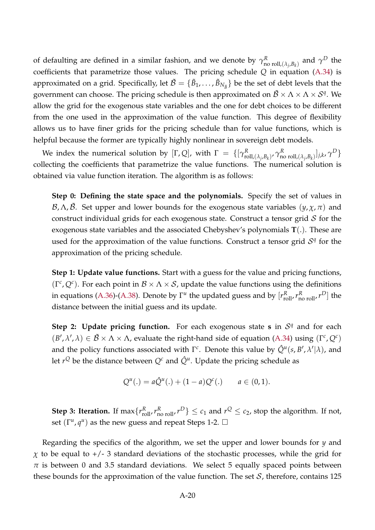of defaulting are defined in a similar fashion, and we denote by  $\gamma_{\sf n}^{\cal R}$  $\alpha^R$ <sub>no roll, $(\lambda_j, B_k)$  and  $\gamma^D$  the</sub> coefficients that parametrize those values. The pricing schedule *Q* in equation [\(A.34\)](#page-17-3) is approximated on a grid. Specifically, let  $\tilde{\cal B} = \{\tilde B_1,\ldots,\tilde B_{N_{\tilde B}}\}$  be the set of debt levels that the government can choose. The pricing schedule is then approximated on  $\tilde{\cal B} \times \Lambda \times \Lambda \times {\cal S}^q.$  We allow the grid for the exogenous state variables and the one for debt choices to be different from the one used in the approximation of the value function. This degree of flexibility allows us to have finer grids for the pricing schedule than for value functions, which is helpful because the former are typically highly nonlinear in sovereign debt models.

We index the numerical solution by  $[\Gamma, Q]$ , with  $\Gamma = \{[\gamma^R_{\text{rc}}] \mid \gamma^R_{\text{rc}} \}$  $_{\text{roll},(\lambda_j,B_k)}^R$ ,  $\gamma_{\mathbf{n}_0}^R$  $\sum_{k=1}^{R} \sum_{j=1}^{R} \sum_{j=1}^{R} \sum_{j=1}^{R} \sum_{k} \sum_{j=1}^{R} \sum_{j=1}^{R} \sum_{j=1}^{R} \sum_{j=1}^{R} \sum_{j=1}^{R} \sum_{j=1}^{R} \sum_{j=1}^{R} \sum_{j=1}^{R} \sum_{j=1}^{R} \sum_{j=1}^{R} \sum_{j=1}^{R} \sum_{j=1}^{R} \sum_{j=1}^{R} \sum_{j=1}^{R} \sum_{j=1}^{R} \sum_{j=1}^{R} \sum_{j=1}^{R} \sum_{j=$ collecting the coefficients that parametrize the value functions. The numerical solution is obtained via value function iteration. The algorithm is as follows:

**Step 0: Defining the state space and the polynomials.** Specify the set of values in B,  $Λ$ ,  $\tilde{B}$ . Set upper and lower bounds for the exogenous state variables  $(γ, χ, π)$  and construct individual grids for each exogenous state. Construct a tensor grid  $S$  for the exogenous state variables and the associated Chebyshev's polynomials **T**(.). These are used for the approximation of the value functions. Construct a tensor grid  $S<sup>q</sup>$  for the approximation of the pricing schedule.

**Step 1: Update value functions.** Start with a guess for the value and pricing functions,  $(\Gamma^c, Q^c)$ . For each point in  $\mathcal{B} \times \Lambda \times \mathcal{S}$ , update the value functions using the definitions in equations [\(A.36\)](#page-18-1)-[\(A.38\)](#page-18-2). Denote by  $\Gamma^u$  the updated guess and by  $[r_{\text{roll}}^R, r_{\text{no roll}}^R, r^D]$  the distance between the initial guess and its update.

**Step 2: Update pricing function.** For each exogenous state **s** in  $S<sup>q</sup>$  and for each  $(B', \lambda', \lambda) \in \tilde{B} \times \Lambda \times \Lambda$ , evaluate the right-hand side of equation [\(A.34\)](#page-17-3) using  $(\Gamma^c, Q^c)$ and the policy functions associated with  $\Gamma^c$ . Denote this value by  $\hat{Q}^u(s, B', \lambda' | \lambda)$ , and let  $r^Q$  be the distance between  $Q^c$  and  $\hat{Q}^u$ . Update the pricing schedule as

$$
Q^{u}(.) = a\hat{Q}^{u}(.) + (1-a)Q^{c}(.) \qquad a \in (0,1).
$$

**Step 3: Iteration.** If  $\max\{r_{\text{roll}}^R, r_{\text{no roll}}^R, r^D\} \le c_1$  and  $r^Q \le c_2$ , stop the algorithm. If not, set  $(\Gamma^u, q^u)$  as the new guess and repeat Steps 1-2.  $\Box$ 

Regarding the specifics of the algorithm, we set the upper and lower bounds for *y* and  $\chi$  to be equal to  $+/- 3$  standard deviations of the stochastic processes, while the grid for  $\pi$  is between 0 and 3.5 standard deviations. We select 5 equally spaced points between these bounds for the approximation of the value function. The set  $S$ , therefore, contains 125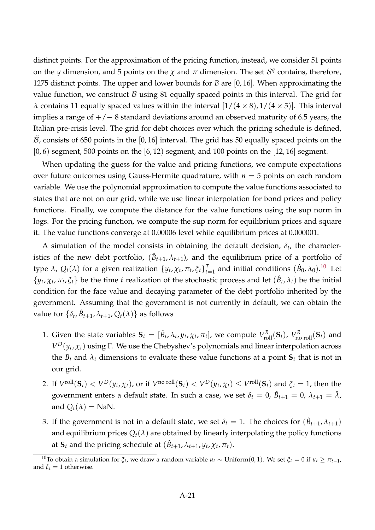distinct points. For the approximation of the pricing function, instead, we consider 51 points on the *y* dimension, and 5 points on the  $\chi$  and  $\pi$  dimension. The set  $\mathcal{S}^q$  contains, therefore, 1275 distinct points. The upper and lower bounds for *B* are [0, 16]. When approximating the value function, we construct  $\beta$  using 81 equally spaced points in this interval. The grid for *λ* contains 11 equally spaced values within the interval  $\left[1/(4 \times 8), 1/(4 \times 5)\right]$ . This interval implies a range of  $+/-8$  standard deviations around an observed maturity of 6.5 years, the Italian pre-crisis level. The grid for debt choices over which the pricing schedule is defined,  $B$ , consists of 650 points in the [0, 16] interval. The grid has 50 equally spaced points on the  $[0, 6)$  segment, 500 points on the  $[6, 12)$  segment, and 100 points on the  $[12, 16]$  segment.

When updating the guess for the value and pricing functions, we compute expectations over future outcomes using Gauss-Hermite quadrature, with  $n = 5$  points on each random variable. We use the polynomial approximation to compute the value functions associated to states that are not on our grid, while we use linear interpolation for bond prices and policy functions. Finally, we compute the distance for the value functions using the sup norm in logs. For the pricing function, we compute the sup norm for equilibrium prices and square it. The value functions converge at 0.00006 level while equilibrium prices at 0.000001.

A simulation of the model consists in obtaining the default decision,  $\delta_t$ , the characteristics of the new debt portfolio,  $(\hat{B}_{t+1}, \lambda_{t+1})$ , and the equilibrium price of a portfolio of type  $\lambda$ ,  $Q_t(\lambda)$  for a given realization  $\{y_t, \chi_t, \pi_t, \xi_t\}_{t=1}^T$  and initial conditions  $(\hat{B}_0, \lambda_0)$ .<sup>[10](#page-20-0)</sup> Let  $\{y_t, \chi_t, \pi_t, \xi_t\}$  be the time *t* realization of the stochastic process and let  $(\hat{B}_t, \lambda_t)$  be the initial condition for the face value and decaying parameter of the debt portfolio inherited by the government. Assuming that the government is not currently in default, we can obtain the value for  $\{\delta_t, \hat{B}_{t+1}, \lambda_{t+1}, Q_t(\lambda)\}$  as follows

- 1. Given the state variables  $\mathbf{S}_t = [\hat{B}_t, \lambda_t, y_t, \chi_t, \pi_t]$ , we compute  $V_{roll}^R(\mathbf{S}_t)$ ,  $V_{no}^R$   $_{roll}(\mathbf{S}_t)$  and *V <sup>D</sup>*(*y<sup>t</sup>* , *χt*) using Γ. We use the Chebyshev's polynomials and linear interpolation across the  $B_t$  and  $\lambda_t$  dimensions to evaluate these value functions at a point  $S_t$  that is not in our grid.
- 2. If  $V^{\text{roll}}(\mathbf{S}_t) < V^D(y_t, \chi_t)$ , or if  $V^{\text{no roll}}(\mathbf{S}_t) < V^D(y_t, \chi_t) \leq V^{\text{roll}}(\mathbf{S}_t)$  and  $\xi_t = 1$ , then the government enters a default state. In such a case, we set  $\delta_t=0$ ,  $\hat{B}_{t+1}=0$ ,  $\lambda_{t+1}=\bar{\lambda}$ , and  $Q_t(\lambda) =$  NaN.
- 3. If the government is not in a default state, we set  $\delta_t = 1$ . The choices for  $(\hat{B}_{t+1}, \lambda_{t+1})$ and equilibrium prices  $Q_t(\lambda)$  are obtained by linearly interpolating the policy functions at  $\mathbf{S}_t$  and the pricing schedule at  $(\hat{B}_{t+1}, \lambda_{t+1}, y_t, \chi_t, \pi_t)$ .

<span id="page-20-0"></span><sup>&</sup>lt;sup>10</sup>To obtain a simulation for *ξ*<sup>*t*</sup>, we draw a random variable *u*<sup>*t*</sup> ∼ Uniform(0,1). We set *ξ*<sup>*t*</sup> = 0 if *u*<sup>*t*</sup> ≥ *π*<sup>*t*</sup>−1</sub>, and  $\xi_t = 1$  otherwise.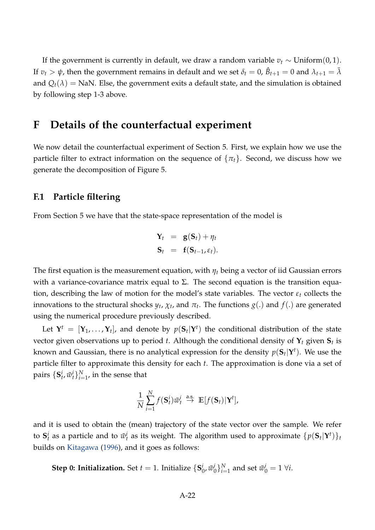If the government is currently in default, we draw a random variable  $v_t \sim \text{Uniform}(0, 1)$ . If  $v_t > \psi$ , then the government remains in default and we set  $\delta_t = 0$ ,  $\hat{B}_{t+1} = 0$  and  $\lambda_{t+1} = \bar{\lambda}$ and  $Q_t(\lambda)$  = NaN. Else, the government exits a default state, and the simulation is obtained by following step 1-3 above.

## **F Details of the counterfactual experiment**

We now detail the counterfactual experiment of Section 5. First, we explain how we use the particle filter to extract information on the sequence of  $\{\pi_t\}$ . Second, we discuss how we generate the decomposition of Figure 5.

### **F.1 Particle filtering**

From Section 5 we have that the state-space representation of the model is

$$
\mathbf{Y}_t = \mathbf{g}(\mathbf{S}_t) + \eta_t
$$
  

$$
\mathbf{S}_t = \mathbf{f}(\mathbf{S}_{t-1}, \varepsilon_t).
$$

The first equation is the measurement equation, with *η<sup>t</sup>* being a vector of iid Gaussian errors with a variance-covariance matrix equal to  $\Sigma$ . The second equation is the transition equation, describing the law of motion for the model's state variables. The vector  $\varepsilon_t$  collects the innovations to the structural shocks  $y_t$ ,  $\chi_t$ , and  $\pi_t$ . The functions  $g(.)$  and  $f(.)$  are generated using the numerical procedure previously described.

Let  $\mathbf{Y}^t = [\mathbf{Y}_1, \dots, \mathbf{Y}_t]$ , and denote by  $p(\mathbf{S}_t | \mathbf{Y}^t)$  the conditional distribution of the state vector given observations up to period *t*. Although the conditional density of **Y***<sup>t</sup>* given **S***<sup>t</sup>* is known and Gaussian, there is no analytical expression for the density  $p(\mathbf{S}_t|\mathbf{Y}^t).$  We use the particle filter to approximate this density for each *t*. The approximation is done via a set of pairs  $\{\mathbf{S}_t^i, \tilde{w}_t^i\}_{i=1}^N$ , in the sense that

$$
\frac{1}{N} \sum_{i=1}^{N} f(\mathbf{S}_t^i) \tilde{w}_t^i \stackrel{\text{a.s.}}{\rightarrow} \mathbb{E}[f(\mathbf{S}_t)|\mathbf{Y}^t],
$$

and it is used to obtain the (mean) trajectory of the state vector over the sample. We refer to  $\mathbf{S}_t^i$  as a particle and to  $\tilde{w}_t^i$  as its weight. The algorithm used to approximate  $\{p(\mathbf{S}_t|\mathbf{Y}^t)\}_t$ builds on [Kitagawa](#page-30-6) [\(1996\)](#page-30-6), and it goes as follows:

**Step 0: Initialization.** Set  $t = 1$ . Initialize  $\{S_t^i\}$  $_{0}^{i}$ ,  $\tilde{w}_{0}^{i}$  $\{i\}_{i=1}^N$  and set  $\tilde{w}_0^i = 1 \ \forall i$ .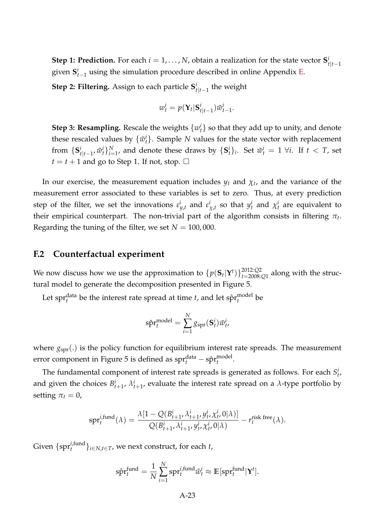**Step 1: Prediction.** For each  $i = 1, ..., N$ , obtain a realization for the state vector  $S_i^i$ *t*|*t*−1 given  $S_{t-1}^i$  using the simulation procedure described in online Appendix [E.](#page-16-2)

**Step 2: Filtering.** Assign to each particle **S** *i*  $t|_{t-1}$  the weight

$$
w_t^i = p(\mathbf{Y}_t | \mathbf{S}_{t|t-1}^i) \tilde{w}_{t-1}^i.
$$

**Step 3: Resampling.** Rescale the weights  $\{w_t^i\}$  so that they add up to unity, and denote these rescaled values by  $\{\tilde{w}_t^i\}$ . Sample *N* values for the state vector with replacement from  $\{S_i^i\}$ *i*<sub>t|t−1</sub>,  $\tilde{w}_t^i$ } $_{i=1}^N$ , and denote these draws by  $\{{\bf S}_t^i\}_i$ . Set  $\tilde{w}_t^i = 1 \ \forall i.$  If  $t < T$ , set  $t = t + 1$  and go to Step 1. If not, stop.  $\Box$ 

In our exercise, the measurement equation includes  $y_t$  and  $\chi_t$ , and the variance of the measurement error associated to these variables is set to zero. Thus, at every prediction step of the filter, we set the innovations  $\varepsilon_{y,t}^i$  and  $\varepsilon_{\chi,t}^i$  so that  $y_t^i$  and  $\chi_t^i$  are equivalent to their empirical counterpart. The non-trivial part of the algorithm consists in filtering  $\pi_t.$ Regarding the tuning of the filter, we set  $N = 100,000$ .

### **F.2 Counterfactual experiment**

We now discuss how we use the approximation to  $\{p(\mathbf{S}_t|\mathbf{Y}^t)\}_{t=2008}^{2012:Q2}$  $t=2008:Q1$  along with the structural model to generate the decomposition presented in Figure 5.

Let spr $f_t^{\text{data}}$  be the interest rate spread at time *t*, and let sp $f_t^{\text{model}}$ *t* be

$$
\hat{\text{spr}}_t^{\text{model}} = \sum_{i=1}^N g_{\text{spr}}(\mathbf{S}_t^i) \tilde{w}_t^i,
$$

where  $g_{spr}$ .) is the policy function for equilibrium interest rate spreads. The measurement error component in Figure 5 is defined as  $\text{spr}^{\text{data}}_t - \text{spr}^{\text{model}}_t$ *t* .

The fundamental component of interest rate spreads is generated as follows. For each  $S_t^i$ , and given the choices  $B_{t+1}^i$ ,  $\lambda_{t+1}^i$ , evaluate the interest rate spread on a  $\lambda$ -type portfolio by setting  $\pi_t = 0$ ,

$$
\text{spr}_{t}^{i,\text{fund}}(\lambda) = \frac{\lambda[1 - Q(B_{t+1}^{i}, \lambda_{t+1}^{i}, y_{t}^{i}, \chi_{t}^{i}, 0|\lambda)]}{Q(B_{t+1}^{i}, \lambda_{t+1}^{i}, y_{t}^{i}, \chi_{t}^{i}, 0|\lambda)} - r_{t}^{\text{risk free}}(\lambda).
$$

Given  $\{$ sp $r_t^{i, \text{fund}}\}_{i \in N, t \in T}$ , we next construct, for each *t*,

$$
\hat{\text{spr}}_t^{\text{fund}} = \frac{1}{N} \sum_{i=1}^N \text{spr}_t^{i,\text{fund}} \tilde{w}_t^i \approx \mathbb{E}[\text{spr}_t^{\text{fund}} | \mathbf{Y}^t].
$$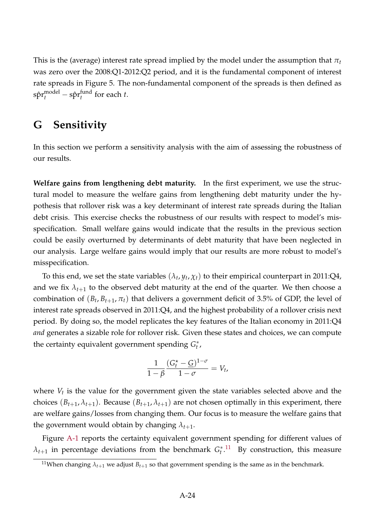This is the (average) interest rate spread implied by the model under the assumption that  $\pi_t$ was zero over the 2008:Q1-2012:Q2 period, and it is the fundamental component of interest rate spreads in Figure 5. The non-fundamental component of the spreads is then defined as  $\textrm{s}\hat{\textrm{p}}\textrm{r}^{\textrm{model}}_{t}-\textrm{s}\hat{\textrm{p}}\textrm{r}^{\textrm{fund}}_{t}$  $t_t^{\text{tund}}$  for each  $t$ .

# **G Sensitivity**

In this section we perform a sensitivity analysis with the aim of assessing the robustness of our results.

**Welfare gains from lengthening debt maturity.** In the first experiment, we use the structural model to measure the welfare gains from lengthening debt maturity under the hypothesis that rollover risk was a key determinant of interest rate spreads during the Italian debt crisis. This exercise checks the robustness of our results with respect to model's misspecification. Small welfare gains would indicate that the results in the previous section could be easily overturned by determinants of debt maturity that have been neglected in our analysis. Large welfare gains would imply that our results are more robust to model's misspecification.

To this end, we set the state variables  $(\lambda_t, y_t, \chi_t)$  to their empirical counterpart in 2011:Q4, and we fix  $\lambda_{t+1}$  to the observed debt maturity at the end of the quarter. We then choose a combination of  $(B_t, B_{t+1}, \pi_t)$  that delivers a government deficit of 3.5% of GDP, the level of interest rate spreads observed in 2011:Q4, and the highest probability of a rollover crisis next period. By doing so, the model replicates the key features of the Italian economy in 2011:Q4 *and* generates a sizable role for rollover risk. Given these states and choices, we can compute the certainty equivalent government spending *G* ∗ *t* ,

$$
\frac{1}{1-\beta}\frac{(G_t^\star-\underline{G})^{1-\sigma}}{1-\sigma}=V_t,
$$

where *V<sup>t</sup>* is the value for the government given the state variables selected above and the choices  $(B_{t+1}, \lambda_{t+1})$ . Because  $(B_{t+1}, \lambda_{t+1})$  are not chosen optimally in this experiment, there are welfare gains/losses from changing them. Our focus is to measure the welfare gains that the government would obtain by changing  $\lambda_{t+1}$ .

Figure [A-1](#page-24-0) reports the certainty equivalent government spending for different values of  $\lambda_{t+1}$  in percentage deviations from the benchmark  $G_t^*$  $t^{*}$ .<sup>[11](#page-23-0)</sup> By construction, this measure

<span id="page-23-0"></span><sup>&</sup>lt;sup>11</sup>When changing  $\lambda_{t+1}$  we adjust  $B_{t+1}$  so that government spending is the same as in the benchmark.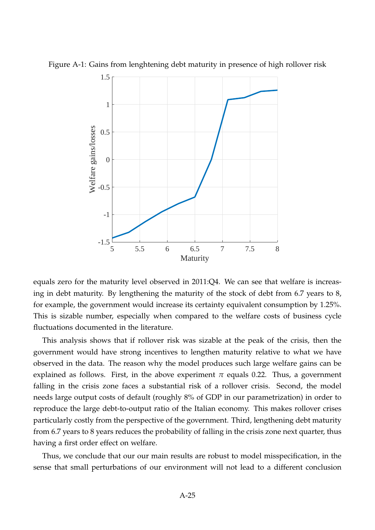

<span id="page-24-0"></span>

equals zero for the maturity level observed in 2011:Q4. We can see that welfare is increasing in debt maturity. By lengthening the maturity of the stock of debt from 6.7 years to 8, for example, the government would increase its certainty equivalent consumption by 1.25%. This is sizable number, especially when compared to the welfare costs of business cycle fluctuations documented in the literature.

This analysis shows that if rollover risk was sizable at the peak of the crisis, then the government would have strong incentives to lengthen maturity relative to what we have observed in the data. The reason why the model produces such large welfare gains can be explained as follows. First, in the above experiment  $\pi$  equals 0.22. Thus, a government falling in the crisis zone faces a substantial risk of a rollover crisis. Second, the model needs large output costs of default (roughly 8% of GDP in our parametrization) in order to reproduce the large debt-to-output ratio of the Italian economy. This makes rollover crises particularly costly from the perspective of the government. Third, lengthening debt maturity from 6.7 years to 8 years reduces the probability of falling in the crisis zone next quarter, thus having a first order effect on welfare.

Thus, we conclude that our our main results are robust to model misspecification, in the sense that small perturbations of our environment will not lead to a different conclusion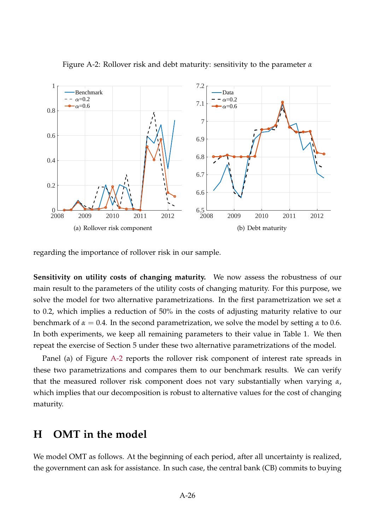

<span id="page-25-0"></span>Figure A-2: Rollover risk and debt maturity: sensitivity to the parameter *α*

regarding the importance of rollover risk in our sample.

**Sensitivity on utility costs of changing maturity.** We now assess the robustness of our main result to the parameters of the utility costs of changing maturity. For this purpose, we solve the model for two alternative parametrizations. In the first parametrization we set *α* to 0.2, which implies a reduction of 50% in the costs of adjusting maturity relative to our benchmark of  $\alpha = 0.4$ . In the second parametrization, we solve the model by setting  $\alpha$  to 0.6. In both experiments, we keep all remaining parameters to their value in Table 1. We then repeat the exercise of Section 5 under these two alternative parametrizations of the model.

Panel (a) of Figure [A-2](#page-25-0) reports the rollover risk component of interest rate spreads in these two parametrizations and compares them to our benchmark results. We can verify that the measured rollover risk component does not vary substantially when varying *α*, which implies that our decomposition is robust to alternative values for the cost of changing maturity.

## **H OMT in the model**

We model OMT as follows. At the beginning of each period, after all uncertainty is realized, the government can ask for assistance. In such case, the central bank (CB) commits to buying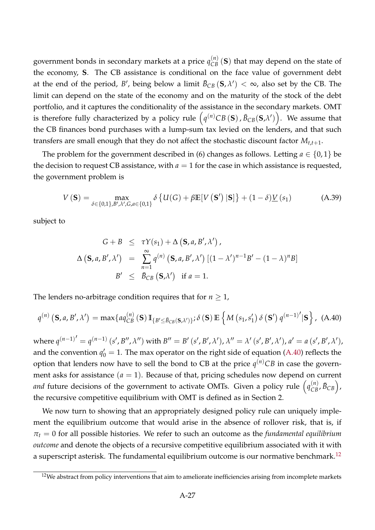government bonds in secondary markets at a price  $q_{CB}^{(n)}\left(\mathbf{S}\right)$  that may depend on the state of the economy, **S**. The CB assistance is conditional on the face value of government debt at the end of the period, *B'*, being below a limit  $\bar{B}_{CB}(\mathbf{S}, \lambda') < \infty$ , also set by the CB. The limit can depend on the state of the economy and on the maturity of the stock of the debt portfolio, and it captures the conditionality of the assistance in the secondary markets. OMT is therefore fully characterized by a policy rule  $\left(q^{(n)}CB\left(\mathbf{S}\right), \bar{B}_{CB}(\mathbf{S},\lambda')\right)$ . We assume that the CB finances bond purchases with a lump-sum tax levied on the lenders, and that such transfers are small enough that they do not affect the stochastic discount factor *Mt*,*t*+1.

The problem for the government described in (6) changes as follows. Letting  $a \in \{0,1\}$  be the decision to request CB assistance, with  $a = 1$  for the case in which assistance is requested, the government problem is

$$
V\left(\mathbf{S}\right) = \max_{\delta \in \{0,1\}, B', \lambda', G, a \in \{0,1\}} \delta \left\{ U(G) + \beta \mathbb{E}[V\left(\mathbf{S'}\right) | \mathbf{S}]\right\} + (1 - \delta) \underline{V}\left(s_1\right) \tag{A.39}
$$

subject to

<span id="page-26-0"></span>
$$
G + B \leq \tau Y(s_1) + \Delta \left( \mathbf{S}, a, B', \lambda' \right),
$$
  

$$
\Delta \left( \mathbf{S}, a, B', \lambda' \right) = \sum_{n=1}^{\infty} q^{(n)} \left( \mathbf{S}, a, B', \lambda' \right) \left[ (1 - \lambda')^{n-1} B' - (1 - \lambda)^n B \right]
$$
  

$$
B' \leq \bar{B}_{CB} \left( \mathbf{S}, \lambda' \right) \text{ if } a = 1.
$$

The lenders no-arbitrage condition requires that for  $n \geq 1$ ,

$$
q^{(n)}\left(\mathbf{S},a,B',\lambda'\right) = \max\{aq_{CB}^{(n)}\left(\mathbf{S}\right)\mathbb{I}_{\{B'\leq \bar{B}_{CB}(\mathbf{S},\lambda')\}}; \delta\left(\mathbf{S}\right) \mathbb{E}\left\{M\left(s_1,s_1'\right)\delta\left(\mathbf{S}'\right)q^{(n-1)'}|\mathbf{S}\right\},\tag{A.40}
$$

where  $q^{(n-1)'} = q^{(n-1)}(s', B'', \lambda'')$  with  $B'' = B'(s', B', \lambda'), \lambda'' = \lambda'(s', B', \lambda'), a' = a(s', B', \lambda'),$ and the convention  $q'_0 = 1$ . The max operator on the right side of equation [\(A.40\)](#page-26-0) reflects the option that lenders now have to sell the bond to CB at the price  $q^{(n)}CB$  in case the government asks for assistance  $(a = 1)$ . Because of that, pricing schedules now depend on current *and* future decisions of the government to activate OMTs. Given a policy rule  $\left(q_{CB}^{(n)}, \bar{B}_{CB}\right)$ , the recursive competitive equilibrium with OMT is defined as in Section 2.

We now turn to showing that an appropriately designed policy rule can uniquely implement the equilibrium outcome that would arise in the absence of rollover risk, that is, if  $\pi_t = 0$  for all possible histories. We refer to such an outcome as the *fundamental equilibrium outcome* and denote the objects of a recursive competitive equilibrium associated with it with a superscript asterisk. The fundamental equilibrium outcome is our normative benchmark.<sup>[12](#page-26-1)</sup>

<span id="page-26-1"></span> $12$ We abstract from policy interventions that aim to ameliorate inefficiencies arising from incomplete markets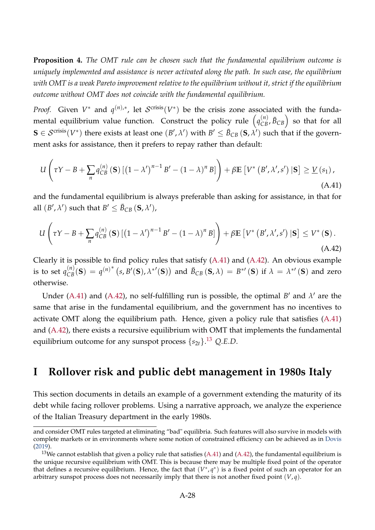**Proposition 4.** *The OMT rule can be chosen such that the fundamental equilibrium outcome is uniquely implemented and assistance is never activated along the path. In such case, the equilibrium with OMT is a weak Pareto improvement relative to the equilibrium without it, strict if the equilibrium outcome without OMT does not coincide with the fundamental equilibrium.*

*Proof.* Given  $V^*$  and  $q^{(n),*}$ , let  $S^{crisis}(V^*)$  be the crisis zone associated with the fundamental equilibrium value function. Construct the policy rule  $\left( q_{CB}^{(n)}, \bar{B}_{CB} \right)$  so that for all  $S \in \mathcal{S}^{\text{crisis}}(V^*)$  there exists at least one  $(B', \lambda')$  with  $B' \leq \bar{B}_{CB} (S, \lambda')$  such that if the government asks for assistance, then it prefers to repay rather than default:

<span id="page-27-0"></span>
$$
U\left(\tau Y - B + \sum_{n} q_{CB}^{(n)}\left(\mathbf{S}\right) \left[\left(1 - \lambda'\right)^{n-1} B' - \left(1 - \lambda\right)^n B\right]\right) + \beta \mathbb{E}\left[V^*\left(B', \lambda', s'\right) \left|\mathbf{S}\right] \geq \underline{V}\left(s_1\right),\tag{A.41}
$$

and the fundamental equilibrium is always preferable than asking for assistance, in that for all  $(B', \lambda')$  such that  $B' \leq \bar{B}_{CB} (\mathbf{S}, \lambda')$ ,

<span id="page-27-1"></span>
$$
U\left(\tau Y - B + \sum_{n} q_{CB}^{(n)}\left(\mathbf{S}\right) \left[\left(1 - \lambda'\right)^{n-1} B' - \left(1 - \lambda\right)^{n} B\right]\right) + \beta \mathbb{E}\left[V^*\left(B', \lambda', s'\right) \left|\mathbf{S}\right]\leq V^*\left(\mathbf{S}\right). \tag{A.42}
$$

Clearly it is possible to find policy rules that satisfy [\(A.41\)](#page-27-0) and [\(A.42\)](#page-27-1). An obvious example is to set  $q_{CB}^{(n)}(s) = q^{(n)*}(s, B'(s), \lambda^{*'}(s))$  and  $\bar{B}_{CB}(s, \lambda) = B^{*'}(s)$  if  $\lambda = \lambda^{*'}(s)$  and zero otherwise.

Under [\(A.41\)](#page-27-0) and [\(A.42\)](#page-27-1), no self-fulfilling run is possible, the optimal  $B'$  and  $\lambda'$  are the same that arise in the fundamental equilibrium, and the government has no incentives to activate OMT along the equilibrium path. Hence, given a policy rule that satisfies [\(A.41\)](#page-27-0) and [\(A.42\)](#page-27-1), there exists a recursive equilibrium with OMT that implements the fundamental equilibrium outcome for any sunspot process {*s*2*t*}. [13](#page-27-2) *Q*.*E*.*D*.

# **I Rollover risk and public debt management in 1980s Italy**

This section documents in details an example of a government extending the maturity of its debt while facing rollover problems. Using a narrative approach, we analyze the experience of the Italian Treasury department in the early 1980s.

and consider OMT rules targeted at eliminating "bad" equilibria. Such features will also survive in models with complete markets or in environments where some notion of constrained efficiency can be achieved as in [Dovis](#page-30-7) [\(2019\)](#page-30-7).

<span id="page-27-2"></span><sup>&</sup>lt;sup>13</sup>We cannot establish that given a policy rule that satisfies [\(A.41\)](#page-27-0) and [\(A.42\)](#page-27-1), the fundamental equilibrium is the unique recursive equilibrium with OMT. This is because there may be multiple fixed point of the operator that defines a recursive equilibrium. Hence, the fact that  $(V^*, q^*)$  is a fixed point of such an operator for an arbitrary sunspot process does not necessarily imply that there is not another fixed point  $(V, q)$ .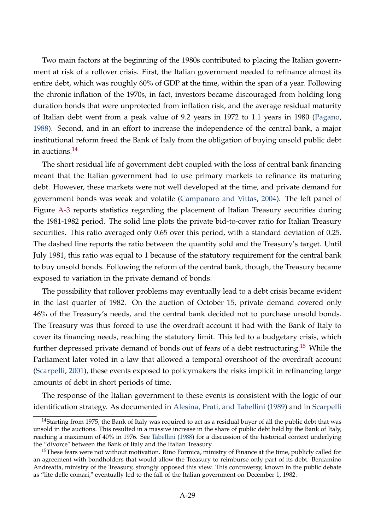Two main factors at the beginning of the 1980s contributed to placing the Italian government at risk of a rollover crisis. First, the Italian government needed to refinance almost its entire debt, which was roughly 60% of GDP at the time, within the span of a year. Following the chronic inflation of the 1970s, in fact, investors became discouraged from holding long duration bonds that were unprotected from inflation risk, and the average residual maturity of Italian debt went from a peak value of 9.2 years in 1972 to 1.1 years in 1980 [\(Pagano,](#page-30-8) [1988\)](#page-30-8). Second, and in an effort to increase the independence of the central bank, a major institutional reform freed the Bank of Italy from the obligation of buying unsold public debt in auctions.<sup>[14](#page-28-0)</sup>

The short residual life of government debt coupled with the loss of central bank financing meant that the Italian government had to use primary markets to refinance its maturing debt. However, these markets were not well developed at the time, and private demand for government bonds was weak and volatile [\(Campanaro and Vittas,](#page-30-9) [2004\)](#page-30-9). The left panel of Figure [A-3](#page-29-0) reports statistics regarding the placement of Italian Treasury securities during the 1981-1982 period. The solid line plots the private bid-to-cover ratio for Italian Treasury securities. This ratio averaged only 0.65 over this period, with a standard deviation of 0.25. The dashed line reports the ratio between the quantity sold and the Treasury's target. Until July 1981, this ratio was equal to 1 because of the statutory requirement for the central bank to buy unsold bonds. Following the reform of the central bank, though, the Treasury became exposed to variation in the private demand of bonds.

The possibility that rollover problems may eventually lead to a debt crisis became evident in the last quarter of 1982. On the auction of October 15, private demand covered only 46% of the Treasury's needs, and the central bank decided not to purchase unsold bonds. The Treasury was thus forced to use the overdraft account it had with the Bank of Italy to cover its financing needs, reaching the statutory limit. This led to a budgetary crisis, which further depressed private demand of bonds out of fears of a debt restructuring.[15](#page-28-1) While the Parliament later voted in a law that allowed a temporal overshoot of the overdraft account [\(Scarpelli,](#page-30-10) [2001\)](#page-30-10), these events exposed to policymakers the risks implicit in refinancing large amounts of debt in short periods of time.

The response of the Italian government to these events is consistent with the logic of our identification strategy. As documented in [Alesina, Prati, and Tabellini](#page-29-1) [\(1989\)](#page-29-1) and in [Scarpelli](#page-30-10)

<span id="page-28-0"></span><sup>&</sup>lt;sup>14</sup>Starting from 1975, the Bank of Italy was required to act as a residual buyer of all the public debt that was unsold in the auctions. This resulted in a massive increase in the share of public debt held by the Bank of Italy, reaching a maximum of 40% in 1976. See [Tabellini](#page-30-11) [\(1988\)](#page-30-11) for a discussion of the historical context underlying the "divorce" between the Bank of Italy and the Italian Treasury.

<span id="page-28-1"></span><sup>&</sup>lt;sup>15</sup>These fears were not without motivation. Rino Formica, ministry of Finance at the time, publicly called for an agreement with bondholders that would allow the Treasury to reimburse only part of its debt. Beniamino Andreatta, ministry of the Treasury, strongly opposed this view. This controversy, known in the public debate as "lite delle comari," eventually led to the fall of the Italian government on December 1, 1982.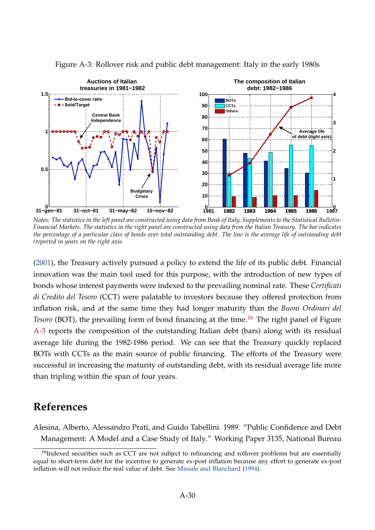

<span id="page-29-0"></span>Figure A-3: Rollover risk and public debt management: Italy in the early 1980s

*Notes: The statistics in the left panel are constructed using data from Bank of Italy, Supplements to the Statistical Bulletin-Financial Markets. The statistics in the right panel are constructed using data from the Italian Treasury. The bar indicates the percentage of a particular class of bonds over total outstanding debt. The line is the average life of outstanding debt (reported in years on the right axis.*

[\(2001\)](#page-30-10), the Treasury actively pursued a policy to extend the life of its public debt. Financial innovation was the main tool used for this purpose, with the introduction of new types of bonds whose interest payments were indexed to the prevailing nominal rate. These *Certificati di Credito del Tesoro* (CCT) were palatable to investors because they offered protection from inflation risk, and at the same time they had longer maturity than the *Buoni Ordinari del Tesoro* (BOT), the prevailing form of bond financing at the time.<sup>[16](#page-29-2)</sup> The right panel of Figure [A-3](#page-29-0) reports the composition of the outstanding Italian debt (bars) along with its residual average life during the 1982-1986 period. We can see that the Treasury quickly replaced BOTs with CCTs as the main source of public financing. The efforts of the Treasury were successful in increasing the maturity of outstanding debt, with its residual average life more than tripling within the span of four years.

# **References**

<span id="page-29-1"></span>Alesina, Alberto, Alessandro Prati, and Guido Tabellini. 1989. "Public Confidence and Debt Management: A Model and a Case Study of Italy." Working Paper 3135, National Bureau

<span id="page-29-2"></span><sup>&</sup>lt;sup>16</sup>Indexed securities such as CCT are not subject to refinancing and rollover problems but are essentially equal to short-term debt for the incentive to generate ex-post inflation because any effort to generate ex-post inflation will not reduce the real value of debt. See [Missale and Blanchard](#page-30-12) [\(1994\)](#page-30-12).